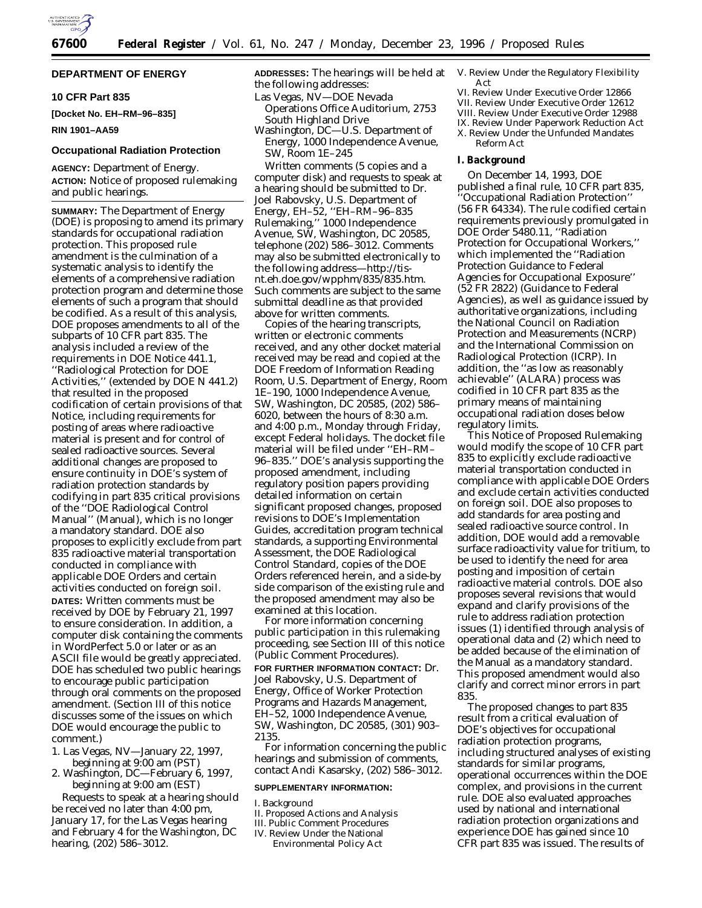

### **DEPARTMENT OF ENERGY**

### **10 CFR Part 835**

**[Docket No. EH–RM–96–835]**

### **RIN 1901–AA59**

#### **Occupational Radiation Protection**

**AGENCY:** Department of Energy. **ACTION:** Notice of proposed rulemaking and public hearings.

**SUMMARY:** The Department of Energy (DOE) is proposing to amend its primary standards for occupational radiation protection. This proposed rule amendment is the culmination of a systematic analysis to identify the elements of a comprehensive radiation protection program and determine those elements of such a program that should be codified. As a result of this analysis, DOE proposes amendments to all of the subparts of 10 CFR part 835. The analysis included a review of the requirements in DOE Notice 441.1, ''Radiological Protection for DOE Activities,'' (extended by DOE N 441.2) that resulted in the proposed codification of certain provisions of that Notice, including requirements for posting of areas where radioactive material is present and for control of sealed radioactive sources. Several additional changes are proposed to ensure continuity in DOE's system of radiation protection standards by codifying in part 835 critical provisions of the ''DOE Radiological Control Manual'' (Manual), which is no longer a mandatory standard. DOE also proposes to explicitly exclude from part 835 radioactive material transportation conducted in compliance with applicable DOE Orders and certain activities conducted on foreign soil. **DATES:** Written comments must be received by DOE by February 21, 1997 to ensure consideration. In addition, a computer disk containing the comments in WordPerfect 5.0 or later or as an ASCII file would be greatly appreciated. DOE has scheduled two public hearings to encourage public participation through oral comments on the proposed amendment. (Section III of this notice discusses some of the issues on which DOE would encourage the public to comment.)

- 1. Las Vegas, NV—January 22, 1997, beginning at 9:00 am (PST)
- 2. Washington, DC—February 6, 1997, beginning at 9:00 am (EST)

Requests to speak at a hearing should be received no later than 4:00 pm, January 17, for the Las Vegas hearing and February 4 for the Washington, DC hearing, (202) 586–3012.

**ADDRESSES:** The hearings will be held at the following addresses:

- Las Vegas, NV—DOE Nevada
- Operations Office Auditorium, 2753 South Highland Drive
- Washington, DC—U.S. Department of Energy, 1000 Independence Avenue, SW, Room 1E–245

Written comments (5 copies and a computer disk) and requests to speak at a hearing should be submitted to Dr. Joel Rabovsky, U.S. Department of Energy, EH–52, ''EH–RM–96–835 Rulemaking,'' 1000 Independence Avenue, SW, Washington, DC 20585, telephone (202) 586–3012. Comments may also be submitted electronically to the following address—http://tisnt.eh.doe.gov/wpphm/835/835.htm. Such comments are subject to the same submittal deadline as that provided above for written comments.

Copies of the hearing transcripts, written or electronic comments received, and any other docket material received may be read and copied at the DOE Freedom of Information Reading Room, U.S. Department of Energy, Room 1E–190, 1000 Independence Avenue, SW, Washington, DC 20585, (202) 586– 6020, between the hours of 8:30 a.m. and 4:00 p.m., Monday through Friday, except Federal holidays. The docket file material will be filed under ''EH–RM– 96–835.'' DOE's analysis supporting the proposed amendment, including regulatory position papers providing detailed information on certain significant proposed changes, proposed revisions to DOE's Implementation Guides, accreditation program technical standards, a supporting Environmental Assessment, the DOE Radiological Control Standard, copies of the DOE Orders referenced herein, and a side-by side comparison of the existing rule and the proposed amendment may also be examined at this location.

For more information concerning public participation in this rulemaking proceeding, see Section III of this notice (Public Comment Procedures). **FOR FURTHER INFORMATION CONTACT:** Dr.

Joel Rabovsky, U.S. Department of Energy, Office of Worker Protection Programs and Hazards Management, EH–52, 1000 Independence Avenue, SW, Washington, DC 20585, (301) 903– 2135.

For information concerning the public hearings and submission of comments, contact Andi Kasarsky, (202) 586–3012.

# **SUPPLEMENTARY INFORMATION:**

I. Background

- II. Proposed Actions and Analysis
- III. Public Comment Procedures
- IV. Review Under the National Environmental Policy Act
- V. Review Under the Regulatory Flexibility Act
- VI. Review Under Executive Order 12866 VII. Review Under Executive Order 12612 VIII. Review Under Executive Order 12988
- IX. Review Under Paperwork Reduction Act
- X. Review Under the Unfunded Mandates
	- Reform Act

### **I. Background**

On December 14, 1993, DOE published a final rule, 10 CFR part 835, ''Occupational Radiation Protection'' (56 FR 64334). The rule codified certain requirements previously promulgated in DOE Order 5480.11, ''Radiation Protection for Occupational Workers,'' which implemented the ''Radiation Protection Guidance to Federal Agencies for Occupational Exposure'' (52 FR 2822) (Guidance to Federal Agencies), as well as guidance issued by authoritative organizations, including the National Council on Radiation Protection and Measurements (NCRP) and the International Commission on Radiological Protection (ICRP). In addition, the ''as low as reasonably achievable'' (ALARA) process was codified in 10 CFR part 835 as the primary means of maintaining occupational radiation doses below regulatory limits.

This Notice of Proposed Rulemaking would modify the scope of 10 CFR part 835 to explicitly exclude radioactive material transportation conducted in compliance with applicable DOE Orders and exclude certain activities conducted on foreign soil. DOE also proposes to add standards for area posting and sealed radioactive source control. In addition, DOE would add a removable surface radioactivity value for tritium, to be used to identify the need for area posting and imposition of certain radioactive material controls. DOE also proposes several revisions that would expand and clarify provisions of the rule to address radiation protection issues (1) identified through analysis of operational data and (2) which need to be added because of the elimination of the Manual as a mandatory standard. This proposed amendment would also clarify and correct minor errors in part 835.

The proposed changes to part 835 result from a critical evaluation of DOE's objectives for occupational radiation protection programs, including structured analyses of existing standards for similar programs, operational occurrences within the DOE complex, and provisions in the current rule. DOE also evaluated approaches used by national and international radiation protection organizations and experience DOE has gained since 10 CFR part 835 was issued. The results of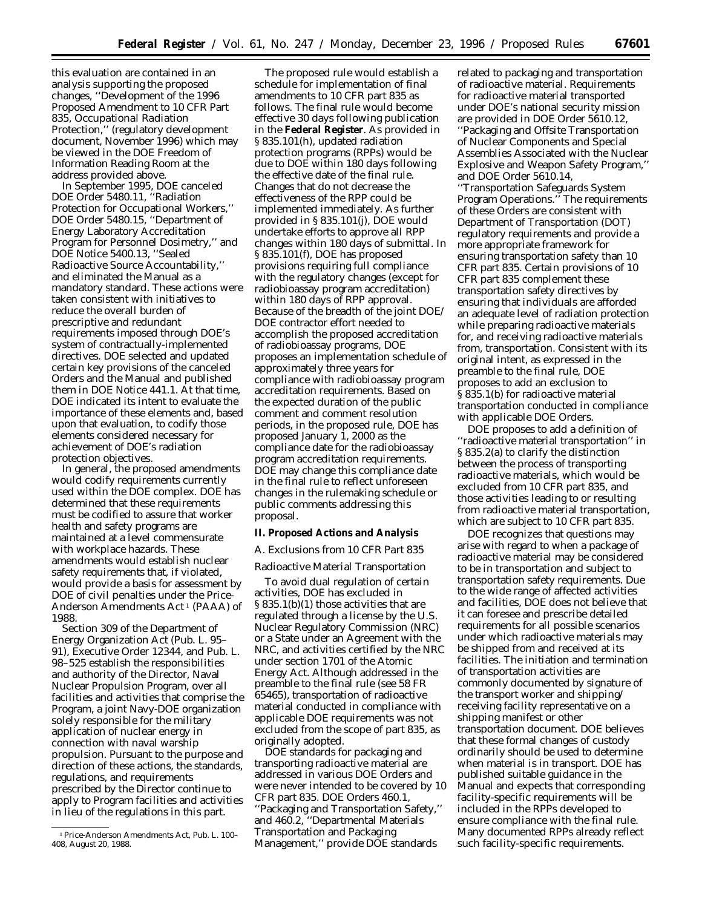this evaluation are contained in an analysis supporting the proposed changes, ''Development of the 1996 Proposed Amendment to 10 CFR Part 835, *Occupational Radiation Protection*,'' (regulatory development document, November 1996) which may be viewed in the DOE Freedom of Information Reading Room at the address provided above.

In September 1995, DOE canceled DOE Order 5480.11, ''Radiation Protection for Occupational Workers,'' DOE Order 5480.15, ''Department of Energy Laboratory Accreditation Program for Personnel Dosimetry,'' and DOE Notice 5400.13, ''Sealed Radioactive Source Accountability,'' and eliminated the Manual as a mandatory standard. These actions were taken consistent with initiatives to reduce the overall burden of prescriptive and redundant requirements imposed through DOE's system of contractually-implemented directives. DOE selected and updated certain key provisions of the canceled Orders and the Manual and published them in DOE Notice 441.1. At that time, DOE indicated its intent to evaluate the importance of these elements and, based upon that evaluation, to codify those elements considered necessary for achievement of DOE's radiation protection objectives.

In general, the proposed amendments would codify requirements currently used within the DOE complex. DOE has determined that these requirements must be codified to assure that worker health and safety programs are maintained at a level commensurate with workplace hazards. These amendments would establish nuclear safety requirements that, if violated, would provide a basis for assessment by DOE of civil penalties under the Price-Anderson Amendments Act 1 (PAAA) of 1988.

Section 309 of the Department of Energy Organization Act (Pub. L. 95– 91), Executive Order 12344, and Pub. L. 98–525 establish the responsibilities and authority of the Director, Naval Nuclear Propulsion Program, over all facilities and activities that comprise the Program, a joint Navy-DOE organization solely responsible for the military application of nuclear energy in connection with naval warship propulsion. Pursuant to the purpose and direction of these actions, the standards, regulations, and requirements prescribed by the Director continue to apply to Program facilities and activities in lieu of the regulations in this part.

The proposed rule would establish a schedule for implementation of final amendments to 10 CFR part 835 as follows. The final rule would become effective 30 days following publication in the **Federal Register**. As provided in § 835.101(h), updated radiation protection programs (RPPs) would be due to DOE within 180 days following the effective date of the final rule. Changes that do not decrease the effectiveness of the RPP could be implemented immediately. As further provided in § 835.101(j), DOE would undertake efforts to approve all RPP changes within 180 days of submittal. In § 835.101(f), DOE has proposed provisions requiring full compliance with the regulatory changes (except for radiobioassay program accreditation) within 180 days of RPP approval. Because of the breadth of the joint DOE/ DOE contractor effort needed to accomplish the proposed accreditation of radiobioassay programs, DOE proposes an implementation schedule of approximately three years for compliance with radiobioassay program accreditation requirements. Based on the expected duration of the public comment and comment resolution periods, in the proposed rule, DOE has proposed January 1, 2000 as the compliance date for the radiobioassay program accreditation requirements. DOE may change this compliance date in the final rule to reflect unforeseen changes in the rulemaking schedule or public comments addressing this proposal.

**II. Proposed Actions and Analysis**

#### *A. Exclusions from 10 CFR Part 835*

Radioactive Material Transportation

To avoid dual regulation of certain activities, DOE has excluded in § 835.1(b)(1) those activities that are regulated through a license by the U.S. Nuclear Regulatory Commission (NRC) or a State under an Agreement with the NRC, and activities certified by the NRC under section 1701 of the Atomic Energy Act. Although addressed in the preamble to the final rule (see 58 FR 65465), transportation of radioactive material conducted in compliance with applicable DOE requirements was not excluded from the scope of part 835, as originally adopted.

DOE standards for packaging and transporting radioactive material are addressed in various DOE Orders and were never intended to be covered by 10 CFR part 835. DOE Orders 460.1, ''Packaging and Transportation Safety,'' and 460.2, "Departmental Materials Transportation and Packaging Management,'' provide DOE standards

related to packaging and transportation of radioactive material. Requirements for radioactive material transported under DOE's national security mission are provided in DOE Order 5610.12, ''Packaging and Offsite Transportation of Nuclear Components and Special Assemblies Associated with the Nuclear Explosive and Weapon Safety Program,'' and DOE Order 5610.14, ''Transportation Safeguards System Program Operations.'' The requirements of these Orders are consistent with Department of Transportation (DOT) regulatory requirements and provide a more appropriate framework for ensuring transportation safety than 10 CFR part 835. Certain provisions of 10 CFR part 835 complement these transportation safety directives by ensuring that individuals are afforded an adequate level of radiation protection while preparing radioactive materials for, and receiving radioactive materials from, transportation. Consistent with its original intent, as expressed in the preamble to the final rule, DOE proposes to add an exclusion to § 835.1(b) for radioactive material transportation conducted in compliance with applicable DOE Orders.

DOE proposes to add a definition of ''radioactive material transportation'' in § 835.2(a) to clarify the distinction between the process of transporting radioactive materials, which would be excluded from 10 CFR part 835, and those activities leading to or resulting from radioactive material transportation, which are subject to 10 CFR part 835.

DOE recognizes that questions may arise with regard to when a package of radioactive material may be considered to be in transportation and subject to transportation safety requirements. Due to the wide range of affected activities and facilities, DOE does not believe that it can foresee and prescribe detailed requirements for all possible scenarios under which radioactive materials may be shipped from and received at its facilities. The initiation and termination of transportation activities are commonly documented by signature of the transport worker and shipping/ receiving facility representative on a shipping manifest or other transportation document. DOE believes that these formal changes of custody ordinarily should be used to determine when material is in transport. DOE has published suitable guidance in the Manual and expects that corresponding facility-specific requirements will be included in the RPPs developed to ensure compliance with the final rule. Many documented RPPs already reflect such facility-specific requirements.

<sup>1</sup>Price-Anderson Amendments Act, Pub. L. 100– 408, August 20, 1988.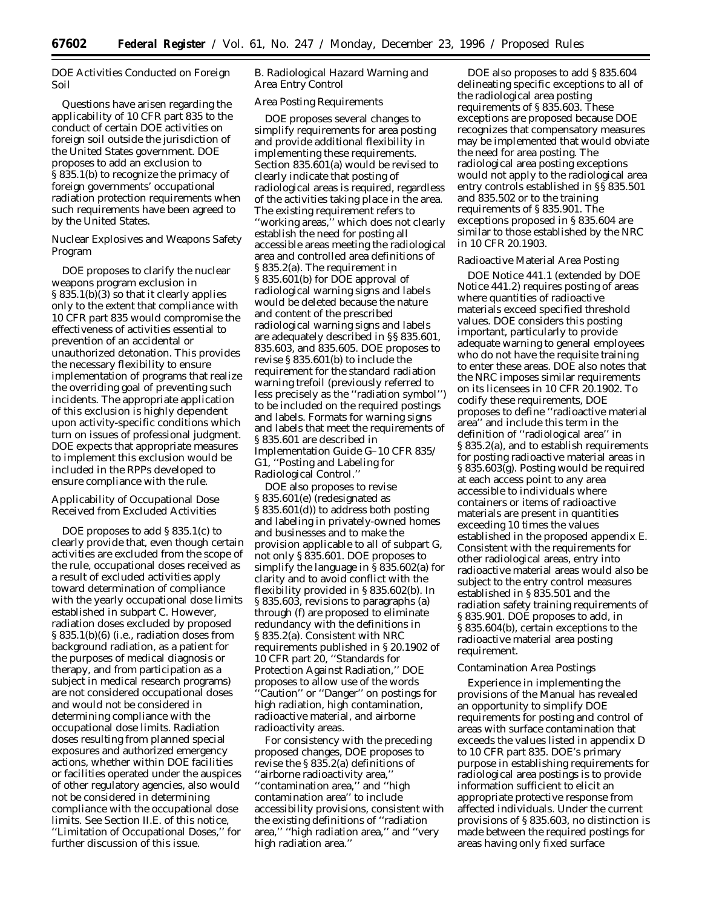DOE Activities Conducted on Foreign Soil

Questions have arisen regarding the applicability of 10 CFR part 835 to the conduct of certain DOE activities on foreign soil outside the jurisdiction of the United States government. DOE proposes to add an exclusion to § 835.1(b) to recognize the primacy of foreign governments' occupational radiation protection requirements when such requirements have been agreed to by the United States.

Nuclear Explosives and Weapons Safety Program

DOE proposes to clarify the nuclear weapons program exclusion in § 835.1(b)(3) so that it clearly applies only to the extent that compliance with 10 CFR part 835 would compromise the effectiveness of activities essential to prevention of an accidental or unauthorized detonation. This provides the necessary flexibility to ensure implementation of programs that realize the overriding goal of preventing such incidents. The appropriate application of this exclusion is highly dependent upon activity-specific conditions which turn on issues of professional judgment. DOE expects that appropriate measures to implement this exclusion would be included in the RPPs developed to ensure compliance with the rule.

Applicability of Occupational Dose Received from Excluded Activities

DOE proposes to add § 835.1(c) to clearly provide that, even though certain activities are excluded from the scope of the rule, occupational doses received as a result of excluded activities apply toward determination of compliance with the yearly occupational dose limits established in subpart C. However, radiation doses excluded by proposed § 835.1(b)(6) (i.e., radiation doses from background radiation, as a patient for the purposes of medical diagnosis or therapy, and from participation as a subject in medical research programs) are not considered occupational doses and would not be considered in determining compliance with the occupational dose limits. Radiation doses resulting from planned special exposures and authorized emergency actions, whether within DOE facilities or facilities operated under the auspices of other regulatory agencies, also would not be considered in determining compliance with the occupational dose limits. See Section II.E. of this notice, ''Limitation of Occupational Doses,'' for further discussion of this issue.

### *B. Radiological Hazard Warning and Area Entry Control*

### Area Posting Requirements

DOE proposes several changes to simplify requirements for area posting and provide additional flexibility in implementing these requirements. Section 835.601(a) would be revised to clearly indicate that posting of radiological areas is required, regardless of the activities taking place in the area. The existing requirement refers to ''working areas,'' which does not clearly establish the need for posting all accessible areas meeting the radiological area and controlled area definitions of § 835.2(a). The requirement in § 835.601(b) for DOE approval of radiological warning signs and labels would be deleted because the nature and content of the prescribed radiological warning signs and labels are adequately described in §§ 835.601, 835.603, and 835.605. DOE proposes to revise § 835.601(b) to include the requirement for the standard radiation warning trefoil (previously referred to less precisely as the ''radiation symbol'') to be included on the required postings and labels. Formats for warning signs and labels that meet the requirements of § 835.601 are described in Implementation Guide G–10 CFR 835/ G1, ''Posting and Labeling for Radiological Control.''

DOE also proposes to revise § 835.601(e) (redesignated as § 835.601(d)) to address both posting and labeling in privately-owned homes and businesses and to make the provision applicable to all of subpart G, not only § 835.601. DOE proposes to simplify the language in § 835.602(a) for clarity and to avoid conflict with the flexibility provided in § 835.602(b). In § 835.603, revisions to paragraphs (a) through (f) are proposed to eliminate redundancy with the definitions in § 835.2(a). Consistent with NRC requirements published in § 20.1902 of 10 CFR part 20, ''Standards for Protection Against Radiation,'' DOE proposes to allow use of the words ''Caution'' or ''Danger'' on postings for high radiation, high contamination, radioactive material, and airborne radioactivity areas.

For consistency with the preceding proposed changes, DOE proposes to revise the § 835.2(a) definitions of ''airborne radioactivity area,'' ''contamination area,'' and ''high contamination area'' to include accessibility provisions, consistent with the existing definitions of ''radiation area,'' ''high radiation area,'' and ''very high radiation area.''

DOE also proposes to add § 835.604 delineating specific exceptions to all of the radiological area posting requirements of § 835.603. These exceptions are proposed because DOE recognizes that compensatory measures may be implemented that would obviate the need for area posting. The radiological area posting exceptions would not apply to the radiological area entry controls established in §§ 835.501 and 835.502 or to the training requirements of § 835.901. The exceptions proposed in § 835.604 are similar to those established by the NRC in 10 CFR 20.1903.

#### Radioactive Material Area Posting

DOE Notice 441.1 (extended by DOE Notice 441.2) requires posting of areas where quantities of radioactive materials exceed specified threshold values. DOE considers this posting important, particularly to provide adequate warning to general employees who do not have the requisite training to enter these areas. DOE also notes that the NRC imposes similar requirements on its licensees in 10 CFR 20.1902. To codify these requirements, DOE proposes to define ''radioactive material area'' and include this term in the definition of ''radiological area'' in § 835.2(a), and to establish requirements for posting radioactive material areas in § 835.603(g). Posting would be required at each access point to any area accessible to individuals where containers or items of radioactive materials are present in quantities exceeding 10 times the values established in the proposed appendix E. Consistent with the requirements for other radiological areas, entry into radioactive material areas would also be subject to the entry control measures established in § 835.501 and the radiation safety training requirements of § 835.901. DOE proposes to add, in § 835.604(b), certain exceptions to the radioactive material area posting requirement.

### Contamination Area Postings

Experience in implementing the provisions of the Manual has revealed an opportunity to simplify DOE requirements for posting and control of areas with surface contamination that exceeds the values listed in appendix D to 10 CFR part 835. DOE's primary purpose in establishing requirements for radiological area postings is to provide information sufficient to elicit an appropriate protective response from affected individuals. Under the current provisions of § 835.603, no distinction is made between the required postings for areas having only fixed surface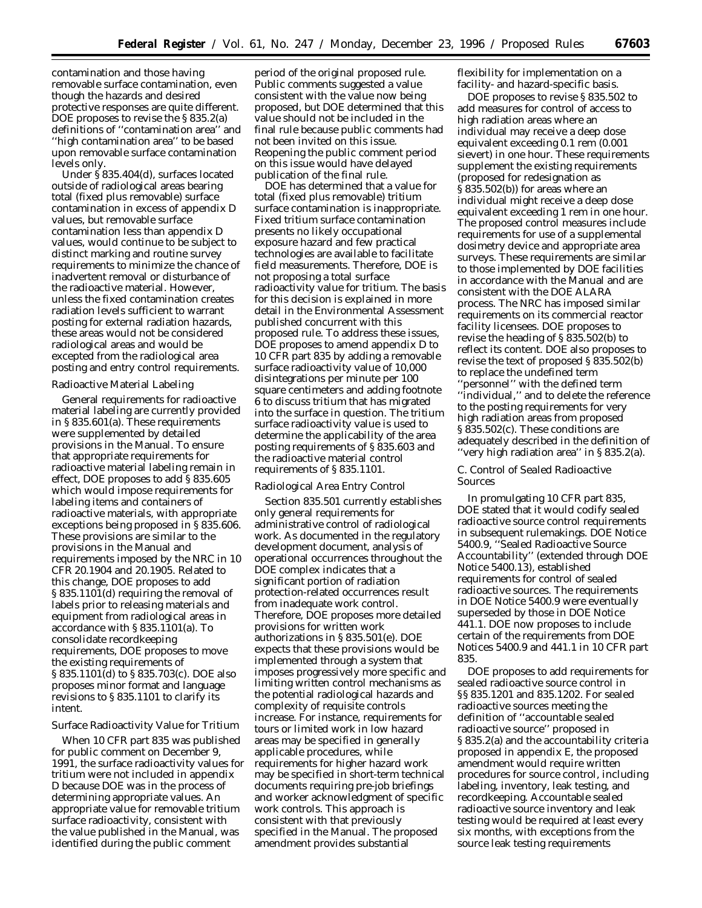contamination and those having removable surface contamination, even though the hazards and desired protective responses are quite different. DOE proposes to revise the § 835.2(a) definitions of ''contamination area'' and ''high contamination area'' to be based upon removable surface contamination levels only.

Under § 835.404(d), surfaces located outside of radiological areas bearing total (fixed plus removable) surface contamination in excess of appendix D values, but removable surface contamination less than appendix D values, would continue to be subject to distinct marking and routine survey requirements to minimize the chance of inadvertent removal or disturbance of the radioactive material. However, unless the fixed contamination creates radiation levels sufficient to warrant posting for external radiation hazards, these areas would not be considered radiological areas and would be excepted from the radiological area posting and entry control requirements.

#### Radioactive Material Labeling

General requirements for radioactive material labeling are currently provided in § 835.601(a). These requirements were supplemented by detailed provisions in the Manual. To ensure that appropriate requirements for radioactive material labeling remain in effect, DOE proposes to add § 835.605 which would impose requirements for labeling items and containers of radioactive materials, with appropriate exceptions being proposed in § 835.606. These provisions are similar to the provisions in the Manual and requirements imposed by the NRC in 10 CFR 20.1904 and 20.1905. Related to this change, DOE proposes to add § 835.1101(d) requiring the removal of labels prior to releasing materials and equipment from radiological areas in accordance with § 835.1101(a). To consolidate recordkeeping requirements, DOE proposes to move the existing requirements of § 835.1101(d) to § 835.703(c). DOE also proposes minor format and language revisions to § 835.1101 to clarify its intent.

### Surface Radioactivity Value for Tritium

When 10 CFR part 835 was published for public comment on December 9, 1991, the surface radioactivity values for tritium were not included in appendix D because DOE was in the process of determining appropriate values. An appropriate value for removable tritium surface radioactivity, consistent with the value published in the Manual, was identified during the public comment

period of the original proposed rule. Public comments suggested a value consistent with the value now being proposed, but DOE determined that this value should not be included in the final rule because public comments had not been invited on this issue. Reopening the public comment period on this issue would have delayed publication of the final rule.

DOE has determined that a value for total (fixed plus removable) tritium surface contamination is inappropriate. Fixed tritium surface contamination presents no likely occupational exposure hazard and few practical technologies are available to facilitate field measurements. Therefore, DOE is not proposing a total surface radioactivity value for tritium. The basis for this decision is explained in more detail in the Environmental Assessment published concurrent with this proposed rule. To address these issues, DOE proposes to amend appendix D to 10 CFR part 835 by adding a removable surface radioactivity value of 10,000 disintegrations per minute per 100 square centimeters and adding footnote 6 to discuss tritium that has migrated into the surface in question. The tritium surface radioactivity value is used to determine the applicability of the area posting requirements of § 835.603 and the radioactive material control requirements of § 835.1101.

#### Radiological Area Entry Control

Section 835.501 currently establishes only general requirements for administrative control of radiological work. As documented in the regulatory development document, analysis of operational occurrences throughout the DOE complex indicates that a significant portion of radiation protection-related occurrences result from inadequate work control. Therefore, DOE proposes more detailed provisions for written work authorizations in § 835.501(e). DOE expects that these provisions would be implemented through a system that imposes progressively more specific and limiting written control mechanisms as the potential radiological hazards and complexity of requisite controls increase. For instance, requirements for tours or limited work in low hazard areas may be specified in generally applicable procedures, while requirements for higher hazard work may be specified in short-term technical documents requiring pre-job briefings and worker acknowledgment of specific work controls. This approach is consistent with that previously specified in the Manual. The proposed amendment provides substantial

flexibility for implementation on a facility- and hazard-specific basis.

DOE proposes to revise § 835.502 to add measures for control of access to high radiation areas where an individual may receive a deep dose equivalent exceeding 0.1 rem (0.001 sievert) in one hour. These requirements supplement the existing requirements (proposed for redesignation as § 835.502(b)) for areas where an individual might receive a deep dose equivalent exceeding 1 rem in one hour. The proposed control measures include requirements for use of a supplemental dosimetry device and appropriate area surveys. These requirements are similar to those implemented by DOE facilities in accordance with the Manual and are consistent with the DOE ALARA process. The NRC has imposed similar requirements on its commercial reactor facility licensees. DOE proposes to revise the heading of § 835.502(b) to reflect its content. DOE also proposes to revise the text of proposed § 835.502(b) to replace the undefined term ''personnel'' with the defined term ''individual,'' and to delete the reference to the posting requirements for very high radiation areas from proposed § 835.502(c). These conditions are adequately described in the definition of ''very high radiation area'' in § 835.2(a).

### *C. Control of Sealed Radioactive Sources*

In promulgating 10 CFR part 835, DOE stated that it would codify sealed radioactive source control requirements in subsequent rulemakings. DOE Notice 5400.9, ''Sealed Radioactive Source Accountability'' (extended through DOE Notice 5400.13), established requirements for control of sealed radioactive sources. The requirements in DOE Notice 5400.9 were eventually superseded by those in DOE Notice 441.1. DOE now proposes to include certain of the requirements from DOE Notices 5400.9 and 441.1 in 10 CFR part 835.

DOE proposes to add requirements for sealed radioactive source control in §§ 835.1201 and 835.1202. For sealed radioactive sources meeting the definition of ''accountable sealed radioactive source'' proposed in § 835.2(a) and the accountability criteria proposed in appendix E, the proposed amendment would require written procedures for source control, including labeling, inventory, leak testing, and recordkeeping. Accountable sealed radioactive source inventory and leak testing would be required at least every six months, with exceptions from the source leak testing requirements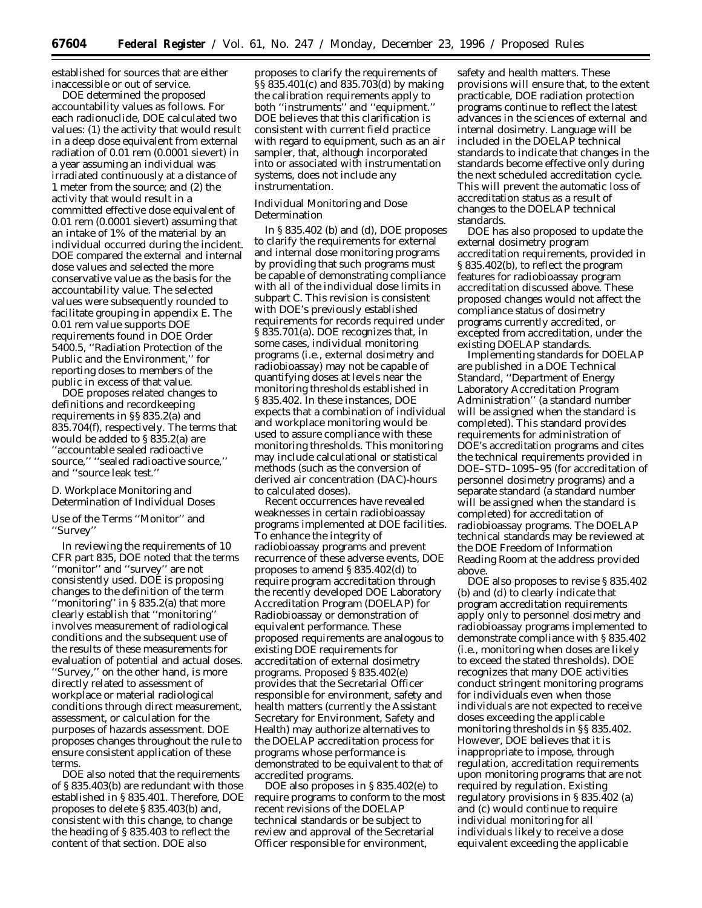established for sources that are either inaccessible or out of service.

DOE determined the proposed accountability values as follows. For each radionuclide, DOE calculated two values: (1) the activity that would result in a deep dose equivalent from external radiation of 0.01 rem (0.0001 sievert) in a year assuming an individual was irradiated continuously at a distance of 1 meter from the source; and (2) the activity that would result in a committed effective dose equivalent of 0.01 rem (0.0001 sievert) assuming that an intake of 1% of the material by an individual occurred during the incident. DOE compared the external and internal dose values and selected the more conservative value as the basis for the accountability value. The selected values were subsequently rounded to facilitate grouping in appendix E. The 0.01 rem value supports DOE requirements found in DOE Order 5400.5, ''Radiation Protection of the Public and the Environment,'' for reporting doses to members of the public in excess of that value.

DOE proposes related changes to definitions and recordkeeping requirements in §§ 835.2(a) and 835.704(f), respectively. The terms that would be added to § 835.2(a) are ''accountable sealed radioactive source,'' ''sealed radioactive source,'' and ''source leak test.''

### *D. Workplace Monitoring and Determination of Individual Doses*

Use of the Terms ''Monitor'' and ''Survey''

In reviewing the requirements of 10 CFR part 835, DOE noted that the terms ''monitor'' and ''survey'' are not consistently used. DOE is proposing changes to the definition of the term ''monitoring'' in § 835.2(a) that more clearly establish that ''monitoring'' involves measurement of radiological conditions and the subsequent use of the results of these measurements for evaluation of potential and actual doses. ''Survey,'' on the other hand, is more directly related to assessment of workplace or material radiological conditions through direct measurement, assessment, or calculation for the purposes of hazards assessment. DOE proposes changes throughout the rule to ensure consistent application of these terms.

DOE also noted that the requirements of § 835.403(b) are redundant with those established in § 835.401. Therefore, DOE proposes to delete § 835.403(b) and, consistent with this change, to change the heading of § 835.403 to reflect the content of that section. DOE also

proposes to clarify the requirements of §§ 835.401(c) and 835.703(d) by making the calibration requirements apply to both ''instruments'' and ''equipment.'' DOE believes that this clarification is consistent with current field practice with regard to equipment, such as an air sampler, that, although incorporated into or associated with instrumentation systems, does not include any instrumentation.

### Individual Monitoring and Dose Determination

In § 835.402 (b) and (d), DOE proposes to clarify the requirements for external and internal dose monitoring programs by providing that such programs must be capable of demonstrating compliance with all of the individual dose limits in subpart C. This revision is consistent with DOE's previously established requirements for records required under § 835.701(a). DOE recognizes that, in some cases, individual monitoring programs (i.e., external dosimetry and radiobioassay) may not be capable of quantifying doses at levels near the monitoring thresholds established in § 835.402. In these instances, DOE expects that a combination of individual and workplace monitoring would be used to assure compliance with these monitoring thresholds. This monitoring may include calculational or statistical methods (such as the conversion of derived air concentration (DAC)-hours to calculated doses).

Recent occurrences have revealed weaknesses in certain radiobioassay programs implemented at DOE facilities. To enhance the integrity of radiobioassay programs and prevent recurrence of these adverse events, DOE proposes to amend § 835.402(d) to require program accreditation through the recently developed DOE Laboratory Accreditation Program (DOELAP) for Radiobioassay or demonstration of equivalent performance. These proposed requirements are analogous to existing DOE requirements for accreditation of external dosimetry programs. Proposed § 835.402(e) provides that the Secretarial Officer responsible for environment, safety and health matters (currently the Assistant Secretary for Environment, Safety and Health) may authorize alternatives to the DOELAP accreditation process for programs whose performance is demonstrated to be equivalent to that of accredited programs.

DOE also proposes in §835.402(e) to require programs to conform to the most recent revisions of the DOELAP technical standards or be subject to review and approval of the Secretarial Officer responsible for environment,

safety and health matters. These provisions will ensure that, to the extent practicable, DOE radiation protection programs continue to reflect the latest advances in the sciences of external and internal dosimetry. Language will be included in the DOELAP technical standards to indicate that changes in the standards become effective only during the next scheduled accreditation cycle. This will prevent the automatic loss of accreditation status as a result of changes to the DOELAP technical standards.

DOE has also proposed to update the external dosimetry program accreditation requirements, provided in § 835.402(b), to reflect the program features for radiobioassay program accreditation discussed above. These proposed changes would not affect the compliance status of dosimetry programs currently accredited, or excepted from accreditation, under the existing DOELAP standards.

Implementing standards for DOELAP are published in a DOE Technical Standard, ''Department of Energy Laboratory Accreditation Program Administration'' (a standard number will be assigned when the standard is completed). This standard provides requirements for administration of DOE's accreditation programs and cites the technical requirements provided in DOE–STD–1095–95 (for accreditation of personnel dosimetry programs) and a separate standard (a standard number will be assigned when the standard is completed) for accreditation of radiobioassay programs. The DOELAP technical standards may be reviewed at the DOE Freedom of Information Reading Room at the address provided above.

DOE also proposes to revise § 835.402 (b) and (d) to clearly indicate that program accreditation requirements apply only to personnel dosimetry and radiobioassay programs implemented to demonstrate compliance with § 835.402 (i.e., monitoring when doses are likely to exceed the stated thresholds). DOE recognizes that many DOE activities conduct stringent monitoring programs for individuals even when those individuals are not expected to receive doses exceeding the applicable monitoring thresholds in §§ 835.402. However, DOE believes that it is inappropriate to impose, through regulation, accreditation requirements upon monitoring programs that are not required by regulation. Existing regulatory provisions in § 835.402 (a) and (c) would continue to require individual monitoring for all individuals likely to receive a dose equivalent exceeding the applicable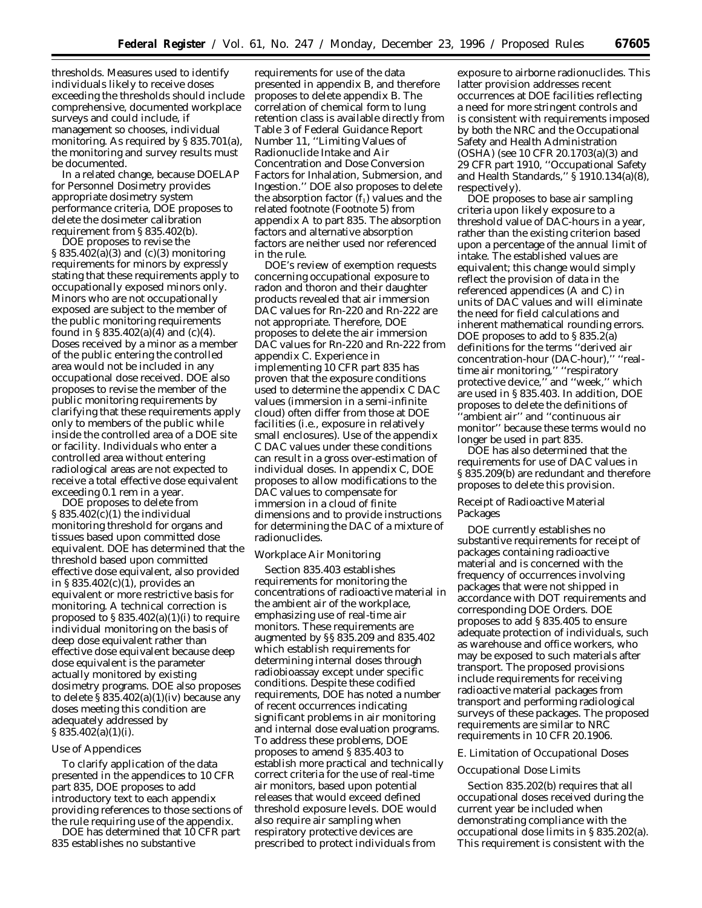thresholds. Measures used to identify individuals likely to receive doses exceeding the thresholds should include comprehensive, documented workplace surveys and could include, if management so chooses, individual monitoring. As required by § 835.701(a), the monitoring and survey results must be documented.

In a related change, because DOELAP for Personnel Dosimetry provides appropriate dosimetry system performance criteria, DOE proposes to delete the dosimeter calibration requirement from § 835.402(b).

DOE proposes to revise the § 835.402(a)(3) and (c)(3) monitoring requirements for minors by expressly stating that these requirements apply to occupationally exposed minors only. Minors who are not occupationally exposed are subject to the member of the public monitoring requirements found in § 835.402(a)(4) and (c)(4). Doses received by a minor as a member of the public entering the controlled area would not be included in any occupational dose received. DOE also proposes to revise the member of the public monitoring requirements by clarifying that these requirements apply only to members of the public while inside the controlled area of a DOE site or facility. Individuals who enter a controlled area without entering radiological areas are not expected to receive a total effective dose equivalent exceeding 0.1 rem in a year.

DOE proposes to delete from § 835.402(c)(1) the individual monitoring threshold for organs and tissues based upon committed dose equivalent. DOE has determined that the threshold based upon committed effective dose equivalent, also provided in § 835.402(c)(1), provides an equivalent or more restrictive basis for monitoring. A technical correction is proposed to  $\S 835.402(a)(1)(i)$  to require individual monitoring on the basis of deep dose equivalent rather than effective dose equivalent because deep dose equivalent is the parameter actually monitored by existing dosimetry programs. DOE also proposes to delete § 835.402(a)(1)(iv) because any doses meeting this condition are adequately addressed by § 835.402(a)(1)(i).

### Use of Appendices

To clarify application of the data presented in the appendices to 10 CFR part 835, DOE proposes to add introductory text to each appendix providing references to those sections of the rule requiring use of the appendix.

DOE has determined that 10 CFR part 835 establishes no substantive

requirements for use of the data presented in appendix B, and therefore proposes to delete appendix B. The correlation of chemical form to lung retention class is available directly from Table 3 of Federal Guidance Report Number 11, ''Limiting Values of Radionuclide Intake and Air Concentration and Dose Conversion Factors for Inhalation, Submersion, and Ingestion.'' DOE also proposes to delete the absorption factor  $(f_1)$  values and the related footnote (Footnote 5) from appendix A to part 835. The absorption factors and alternative absorption factors are neither used nor referenced in the rule.

DOE's review of exemption requests concerning occupational exposure to radon and thoron and their daughter products revealed that air immersion DAC values for Rn-220 and Rn-222 are not appropriate. Therefore, DOE proposes to delete the air immersion DAC values for Rn-220 and Rn-222 from appendix C. Experience in implementing 10 CFR part 835 has proven that the exposure conditions used to determine the appendix C DAC values (immersion in a semi-infinite cloud) often differ from those at DOE facilities (i.e., exposure in relatively small enclosures). Use of the appendix C DAC values under these conditions can result in a gross over-estimation of individual doses. In appendix C, DOE proposes to allow modifications to the DAC values to compensate for immersion in a cloud of finite dimensions and to provide instructions for determining the DAC of a mixture of radionuclides.

### Workplace Air Monitoring

Section 835.403 establishes requirements for monitoring the concentrations of radioactive material in the ambient air of the workplace, emphasizing use of real-time air monitors. These requirements are augmented by §§ 835.209 and 835.402 which establish requirements for determining internal doses through radiobioassay except under specific conditions. Despite these codified requirements, DOE has noted a number of recent occurrences indicating significant problems in air monitoring and internal dose evaluation programs. To address these problems, DOE proposes to amend § 835.403 to establish more practical and technically correct criteria for the use of real-time air monitors, based upon potential releases that would exceed defined threshold exposure levels. DOE would also require air sampling when respiratory protective devices are prescribed to protect individuals from

exposure to airborne radionuclides. This latter provision addresses recent occurrences at DOE facilities reflecting a need for more stringent controls and is consistent with requirements imposed by both the NRC and the Occupational Safety and Health Administration (OSHA) (see 10 CFR 20.1703(a)(3) and 29 CFR part 1910, ''Occupational Safety and Health Standards,'' § 1910.134(a)(8), respectively).

DOE proposes to base air sampling criteria upon likely exposure to a threshold value of DAC-hours in a year, rather than the existing criterion based upon a percentage of the annual limit of intake. The established values are equivalent; this change would simply reflect the provision of data in the referenced appendices (A and C) in units of DAC values and will eliminate the need for field calculations and inherent mathematical rounding errors. DOE proposes to add to § 835.2(a) definitions for the terms ''derived air concentration-hour (DAC-hour),'' ''realtime air monitoring,'' ''respiratory protective device,'' and ''week,'' which are used in § 835.403. In addition, DOE proposes to delete the definitions of 'ambient air" and "continuous air monitor'' because these terms would no longer be used in part 835.

DOE has also determined that the requirements for use of DAC values in § 835.209(b) are redundant and therefore proposes to delete this provision.

### Receipt of Radioactive Material Packages

DOE currently establishes no substantive requirements for receipt of packages containing radioactive material and is concerned with the frequency of occurrences involving packages that were not shipped in accordance with DOT requirements and corresponding DOE Orders. DOE proposes to add § 835.405 to ensure adequate protection of individuals, such as warehouse and office workers, who may be exposed to such materials after transport. The proposed provisions include requirements for receiving radioactive material packages from transport and performing radiological surveys of these packages. The proposed requirements are similar to NRC requirements in 10 CFR 20.1906.

### *E. Limitation of Occupational Doses*

### Occupational Dose Limits

Section 835.202(b) requires that all occupational doses received during the current year be included when demonstrating compliance with the occupational dose limits in § 835.202(a). This requirement is consistent with the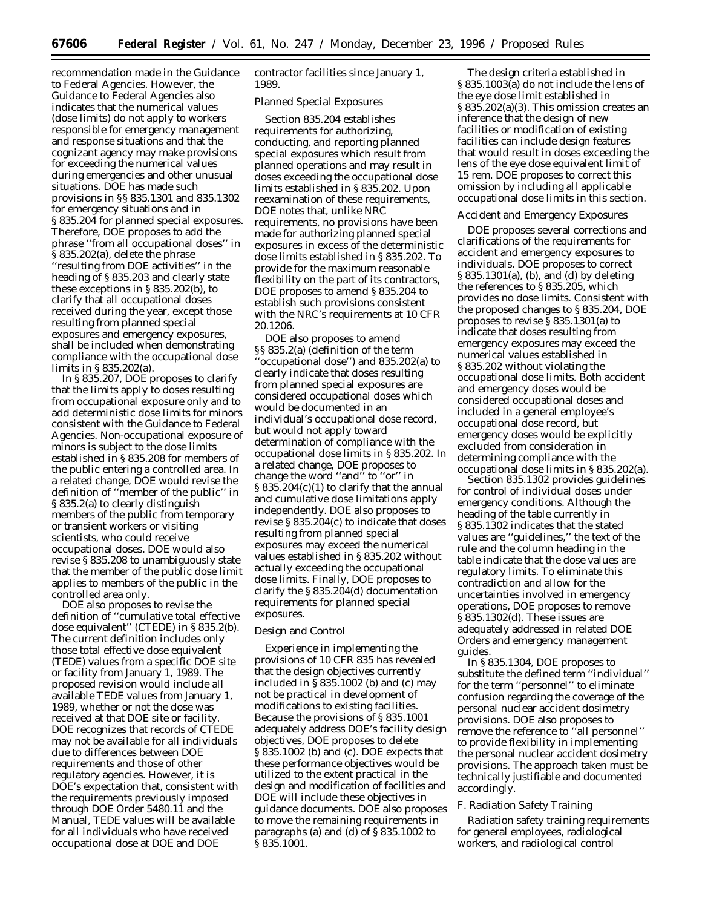recommendation made in the Guidance to Federal Agencies. However, the Guidance to Federal Agencies also indicates that the numerical values (dose limits) do not apply to workers responsible for emergency management and response situations and that the cognizant agency may make provisions for exceeding the numerical values during emergencies and other unusual situations. DOE has made such provisions in §§ 835.1301 and 835.1302 for emergency situations and in § 835.204 for planned special exposures. Therefore, DOE proposes to add the phrase ''from all occupational doses'' in § 835.202(a), delete the phrase 'resulting from DOE activities'' in the heading of § 835.203 and clearly state these exceptions in § 835.202(b), to clarify that all occupational doses received during the year, except those resulting from planned special exposures and emergency exposures, shall be included when demonstrating compliance with the occupational dose limits in § 835.202(a).

In § 835.207, DOE proposes to clarify that the limits apply to doses resulting from occupational exposure only and to add deterministic dose limits for minors consistent with the Guidance to Federal Agencies. Non-occupational exposure of minors is subject to the dose limits established in § 835.208 for members of the public entering a controlled area. In a related change, DOE would revise the definition of ''member of the public'' in § 835.2(a) to clearly distinguish members of the public from temporary or transient workers or visiting scientists, who could receive occupational doses. DOE would also revise § 835.208 to unambiguously state that the member of the public dose limit applies to members of the public in the controlled area only.

DOE also proposes to revise the definition of ''cumulative total effective dose equivalent'' (CTEDE) in § 835.2(b). The current definition includes only those total effective dose equivalent (TEDE) values from a specific DOE site or facility from January 1, 1989. The proposed revision would include all available TEDE values from January 1, 1989, whether or not the dose was received at that DOE site or facility. DOE recognizes that records of CTEDE may not be available for all individuals due to differences between DOE requirements and those of other regulatory agencies. However, it is DOE's expectation that, consistent with the requirements previously imposed through DOE Order 5480.11 and the Manual, TEDE values will be available for all individuals who have received occupational dose at DOE and DOE

contractor facilities since January 1, 1989.

### Planned Special Exposures

Section 835.204 establishes requirements for authorizing, conducting, and reporting planned special exposures which result from planned operations and may result in doses exceeding the occupational dose limits established in § 835.202. Upon reexamination of these requirements, DOE notes that, unlike NRC requirements, no provisions have been made for authorizing planned special exposures in excess of the deterministic dose limits established in § 835.202. To provide for the maximum reasonable flexibility on the part of its contractors, DOE proposes to amend § 835.204 to establish such provisions consistent with the NRC's requirements at 10 CFR 20.1206.

DOE also proposes to amend §§ 835.2(a) (definition of the term ''occupational dose'') and 835.202(a) to clearly indicate that doses resulting from planned special exposures are considered occupational doses which would be documented in an individual's occupational dose record, but would not apply toward determination of compliance with the occupational dose limits in § 835.202. In a related change, DOE proposes to change the word ''and'' to ''or'' in § 835.204(c)(1) to clarify that the annual and cumulative dose limitations apply independently. DOE also proposes to revise § 835.204(c) to indicate that doses resulting from planned special exposures may exceed the numerical values established in § 835.202 without actually exceeding the occupational dose limits. Finally, DOE proposes to clarify the § 835.204(d) documentation requirements for planned special exposures.

### Design and Control

Experience in implementing the provisions of 10 CFR 835 has revealed that the design objectives currently included in § 835.1002 (b) and (c) may not be practical in development of modifications to existing facilities. Because the provisions of § 835.1001 adequately address DOE's facility design objectives, DOE proposes to delete § 835.1002 (b) and (c). DOE expects that these performance objectives would be utilized to the extent practical in the design and modification of facilities and DOE will include these objectives in guidance documents. DOE also proposes to move the remaining requirements in paragraphs (a) and (d) of § 835.1002 to § 835.1001.

The design criteria established in § 835.1003(a) do not include the lens of the eye dose limit established in § 835.202(a)(3). This omission creates an inference that the design of new facilities or modification of existing facilities can include design features that would result in doses exceeding the lens of the eye dose equivalent limit of 15 rem. DOE proposes to correct this omission by including all applicable occupational dose limits in this section.

### Accident and Emergency Exposures

DOE proposes several corrections and clarifications of the requirements for accident and emergency exposures to individuals. DOE proposes to correct § 835.1301(a), (b), and (d) by deleting the references to § 835.205, which provides no dose limits. Consistent with the proposed changes to § 835.204, DOE proposes to revise § 835.1301(a) to indicate that doses resulting from emergency exposures may exceed the numerical values established in § 835.202 without violating the occupational dose limits. Both accident and emergency doses would be considered occupational doses and included in a general employee's occupational dose record, but emergency doses would be explicitly excluded from consideration in determining compliance with the occupational dose limits in § 835.202(a).

Section 835.1302 provides guidelines for control of individual doses under emergency conditions. Although the heading of the table currently in § 835.1302 indicates that the stated values are ''guidelines,'' the text of the rule and the column heading in the table indicate that the dose values are regulatory limits. To eliminate this contradiction and allow for the uncertainties involved in emergency operations, DOE proposes to remove § 835.1302(d). These issues are adequately addressed in related DOE Orders and emergency management guides.

In § 835.1304, DOE proposes to substitute the defined term ''individual'' for the term ''personnel'' to eliminate confusion regarding the coverage of the personal nuclear accident dosimetry provisions. DOE also proposes to remove the reference to ''all personnel'' to provide flexibility in implementing the personal nuclear accident dosimetry provisions. The approach taken must be technically justifiable and documented accordingly.

### *F. Radiation Safety Training*

Radiation safety training requirements for general employees, radiological workers, and radiological control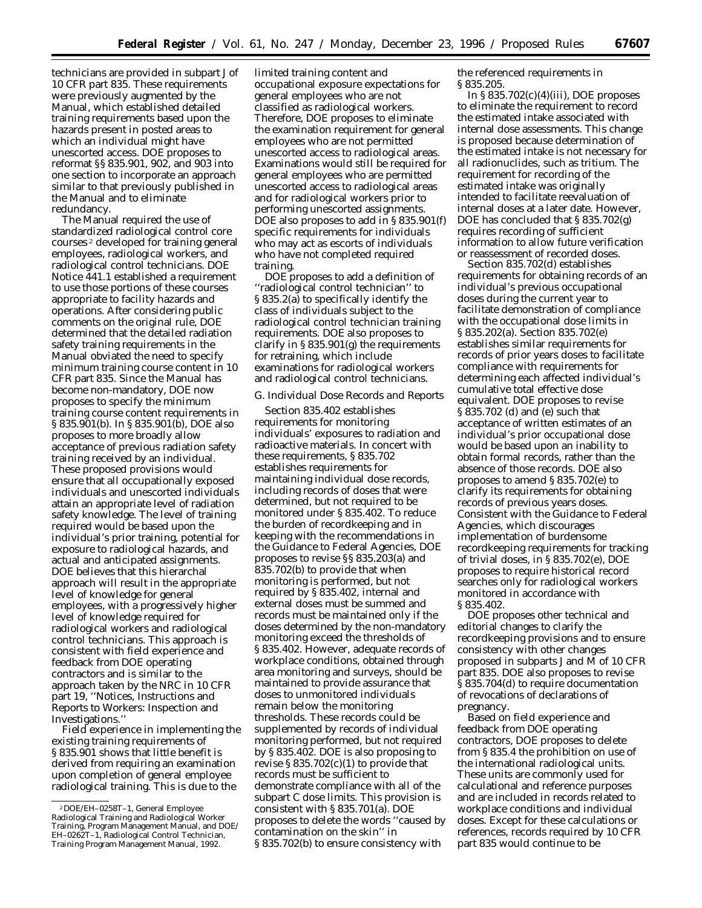technicians are provided in subpart J of 10 CFR part 835. These requirements were previously augmented by the Manual, which established detailed training requirements based upon the hazards present in posted areas to which an individual might have unescorted access. DOE proposes to reformat §§ 835.901, 902, and 903 into one section to incorporate an approach similar to that previously published in the Manual and to eliminate redundancy.

The Manual required the use of standardized radiological control core courses 2 developed for training general employees, radiological workers, and radiological control technicians. DOE Notice 441.1 established a requirement to use those portions of these courses appropriate to facility hazards and operations. After considering public comments on the original rule, DOE determined that the detailed radiation safety training requirements in the Manual obviated the need to specify minimum training course content in 10 CFR part 835. Since the Manual has become non-mandatory, DOE now proposes to specify the minimum training course content requirements in § 835.901(b). In § 835.901(b), DOE also proposes to more broadly allow acceptance of previous radiation safety training received by an individual. These proposed provisions would ensure that all occupationally exposed individuals and unescorted individuals attain an appropriate level of radiation safety knowledge. The level of training required would be based upon the individual's prior training, potential for exposure to radiological hazards, and actual and anticipated assignments. DOE believes that this hierarchal approach will result in the appropriate level of knowledge for general employees, with a progressively higher level of knowledge required for radiological workers and radiological control technicians. This approach is consistent with field experience and feedback from DOE operating contractors and is similar to the approach taken by the NRC in 10 CFR part 19, ''Notices, Instructions and Reports to Workers: Inspection and Investigations.''

Field experience in implementing the existing training requirements of § 835.901 shows that little benefit is derived from requiring an examination upon completion of general employee radiological training. This is due to the

limited training content and occupational exposure expectations for general employees who are not classified as radiological workers. Therefore, DOE proposes to eliminate the examination requirement for general employees who are not permitted unescorted access to radiological areas. Examinations would still be required for general employees who are permitted unescorted access to radiological areas and for radiological workers prior to performing unescorted assignments. DOE also proposes to add in § 835.901(f) specific requirements for individuals who may act as escorts of individuals who have not completed required training.

DOE proposes to add a definition of ''radiological control technician'' to § 835.2(a) to specifically identify the class of individuals subject to the radiological control technician training requirements. DOE also proposes to clarify in  $\S 835.901(g)$  the requirements for retraining, which include examinations for radiological workers and radiological control technicians.

### *G. Individual Dose Records and Reports*

Section 835.402 establishes requirements for monitoring individuals' exposures to radiation and radioactive materials. In concert with these requirements, § 835.702 establishes requirements for maintaining individual dose records, including records of doses that were determined, but not required to be monitored under § 835.402. To reduce the burden of recordkeeping and in keeping with the recommendations in the Guidance to Federal Agencies, DOE proposes to revise §§ 835.203(a) and 835.702(b) to provide that when monitoring is performed, but not required by § 835.402, internal and external doses must be summed and records must be maintained only if the doses determined by the non-mandatory monitoring exceed the thresholds of § 835.402. However, adequate records of workplace conditions, obtained through area monitoring and surveys, should be maintained to provide assurance that doses to unmonitored individuals remain below the monitoring thresholds. These records could be supplemented by records of individual monitoring performed, but not required by § 835.402. DOE is also proposing to revise  $\S 835.702(c)(1)$  to provide that records must be sufficient to demonstrate compliance with all of the subpart C dose limits. This provision is consistent with § 835.701(a). DOE proposes to delete the words ''caused by contamination on the skin'' in § 835.702(b) to ensure consistency with

the referenced requirements in § 835.205.

In  $\S 835.702(c)(4)(iii)$ , DOE proposes to eliminate the requirement to record the estimated intake associated with internal dose assessments. This change is proposed because determination of the estimated intake is not necessary for all radionuclides, such as tritium. The requirement for recording of the estimated intake was originally intended to facilitate reevaluation of internal doses at a later date. However, DOE has concluded that § 835.702(g) requires recording of sufficient information to allow future verification or reassessment of recorded doses.

Section 835.702(d) establishes requirements for obtaining records of an individual's previous occupational doses during the current year to facilitate demonstration of compliance with the occupational dose limits in § 835.202(a). Section 835.702(e) establishes similar requirements for records of prior years doses to facilitate compliance with requirements for determining each affected individual's cumulative total effective dose equivalent. DOE proposes to revise § 835.702 (d) and (e) such that acceptance of written estimates of an individual's prior occupational dose would be based upon an inability to obtain formal records, rather than the absence of those records. DOE also proposes to amend § 835.702(e) to clarify its requirements for obtaining records of previous years doses. Consistent with the Guidance to Federal Agencies, which discourages implementation of burdensome recordkeeping requirements for tracking of trivial doses, in § 835.702(e), DOE proposes to require historical record searches only for radiological workers monitored in accordance with § 835.402.

DOE proposes other technical and editorial changes to clarify the recordkeeping provisions and to ensure consistency with other changes proposed in subparts J and M of 10 CFR part 835. DOE also proposes to revise § 835.704(d) to require documentation of revocations of declarations of pregnancy.

Based on field experience and feedback from DOE operating contractors, DOE proposes to delete from § 835.4 the prohibition on use of the international radiological units. These units are commonly used for calculational and reference purposes and are included in records related to workplace conditions and individual doses. Except for these calculations or references, records required by 10 CFR part 835 would continue to be

<sup>2</sup>DOE/EH–0258T–1, General Employee Radiological Training and Radiological Worker Training, Program Management Manual, and DOE/ EH–0262T–1, Radiological Control Technician, Training Program Management Manual, 1992.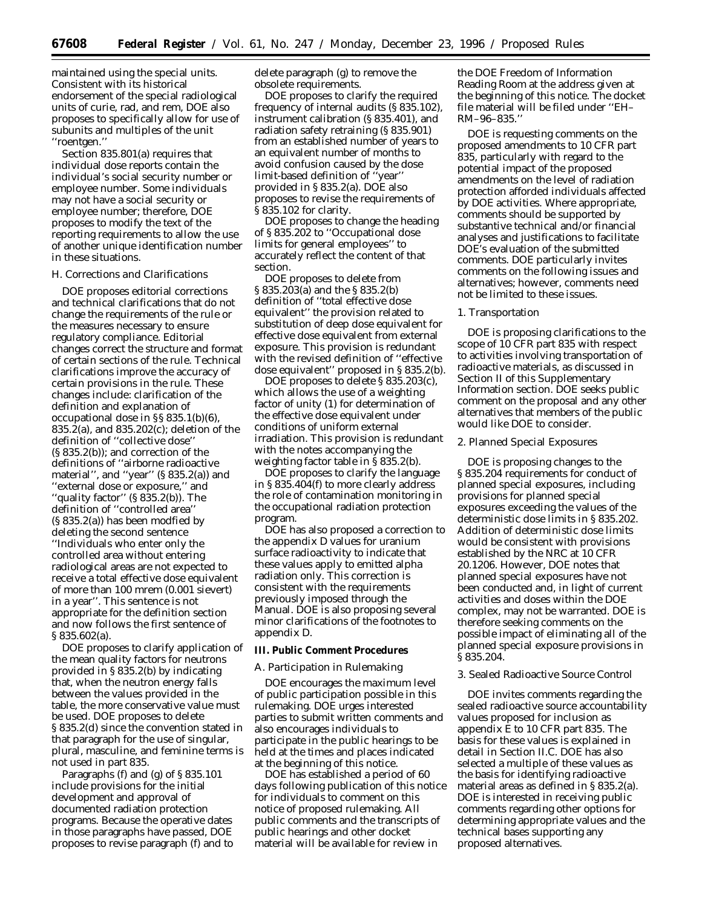maintained using the special units. Consistent with its historical endorsement of the special radiological units of curie, rad, and rem, DOE also proposes to specifically allow for use of subunits and multiples of the unit ''roentgen.''

Section 835.801(a) requires that individual dose reports contain the individual's social security number or employee number. Some individuals may not have a social security or employee number; therefore, DOE proposes to modify the text of the reporting requirements to allow the use of another unique identification number in these situations.

#### *H. Corrections and Clarifications*

DOE proposes editorial corrections and technical clarifications that do not change the requirements of the rule or the measures necessary to ensure regulatory compliance. Editorial changes correct the structure and format of certain sections of the rule. Technical clarifications improve the accuracy of certain provisions in the rule. These changes include: clarification of the definition and explanation of occupational dose in §§ 835.1(b)(6), 835.2(a), and 835.202(c); deletion of the definition of ''collective dose'' (§ 835.2(b)); and correction of the definitions of ''airborne radioactive material'', and ''year'' (§ 835.2(a)) and ''external dose or exposure,'' and ''quality factor'' (§ 835.2(b)). The definition of ''controlled area'' (§ 835.2(a)) has been modfied by deleting the second sentence ''Individuals who enter only the controlled area without entering radiological areas are not expected to receive a total effective dose equivalent of more than 100 mrem (0.001 sievert) in a year''. This sentence is not appropriate for the definition section and now follows the first sentence of § 835.602(a).

DOE proposes to clarify application of the mean quality factors for neutrons provided in § 835.2(b) by indicating that, when the neutron energy falls between the values provided in the table, the more conservative value must be used. DOE proposes to delete § 835.2(d) since the convention stated in that paragraph for the use of singular, plural, masculine, and feminine terms is not used in part 835.

Paragraphs (f) and (g) of § 835.101 include provisions for the initial development and approval of documented radiation protection programs. Because the operative dates in those paragraphs have passed, DOE proposes to revise paragraph (f) and to delete paragraph (g) to remove the obsolete requirements.

DOE proposes to clarify the required frequency of internal audits (§ 835.102), instrument calibration (§ 835.401), and radiation safety retraining (§ 835.901) from an established number of years to an equivalent number of months to avoid confusion caused by the dose limit-based definition of ''year'' provided in § 835.2(a). DOE also proposes to revise the requirements of § 835.102 for clarity.

DOE proposes to change the heading of § 835.202 to ''Occupational dose limits for general employees'' to accurately reflect the content of that section.

DOE proposes to delete from § 835.203(a) and the § 835.2(b) definition of ''total effective dose equivalent'' the provision related to substitution of deep dose equivalent for effective dose equivalent from external exposure. This provision is redundant with the revised definition of ''effective dose equivalent'' proposed in § 835.2(b).

DOE proposes to delete § 835.203(c), which allows the use of a weighting factor of unity (1) for determination of the effective dose equivalent under conditions of uniform external irradiation. This provision is redundant with the notes accompanying the weighting factor table in § 835.2(b).

DOE proposes to clarify the language in § 835.404(f) to more clearly address the role of contamination monitoring in the occupational radiation protection program.

DOE has also proposed a correction to the appendix D values for uranium surface radioactivity to indicate that these values apply to emitted alpha radiation only. This correction is consistent with the requirements previously imposed through the Manual. DOE is also proposing several minor clarifications of the footnotes to appendix D.

#### **III. Public Comment Procedures**

### *A. Participation in Rulemaking*

DOE encourages the maximum level of public participation possible in this rulemaking. DOE urges interested parties to submit written comments and also encourages individuals to participate in the public hearings to be held at the times and places indicated at the beginning of this notice.

DOE has established a period of 60 days following publication of this notice for individuals to comment on this notice of proposed rulemaking. All public comments and the transcripts of public hearings and other docket material will be available for review in

the DOE Freedom of Information Reading Room at the address given at the beginning of this notice. The docket file material will be filed under ''EH– RM–96–835.''

DOE is requesting comments on the proposed amendments to 10 CFR part 835, particularly with regard to the potential impact of the proposed amendments on the level of radiation protection afforded individuals affected by DOE activities. Where appropriate, comments should be supported by substantive technical and/or financial analyses and justifications to facilitate DOE's evaluation of the submitted comments. DOE particularly invites comments on the following issues and alternatives; however, comments need not be limited to these issues.

### 1. Transportation

DOE is proposing clarifications to the scope of 10 CFR part 835 with respect to activities involving transportation of radioactive materials, as discussed in Section II of this Supplementary Information section. DOE seeks public comment on the proposal and any other alternatives that members of the public would like DOE to consider.

#### 2. Planned Special Exposures

DOE is proposing changes to the § 835.204 requirements for conduct of planned special exposures, including provisions for planned special exposures exceeding the values of the deterministic dose limits in § 835.202. Addition of deterministic dose limits would be consistent with provisions established by the NRC at 10 CFR 20.1206. However, DOE notes that planned special exposures have not been conducted and, in light of current activities and doses within the DOE complex, may not be warranted. DOE is therefore seeking comments on the possible impact of eliminating all of the planned special exposure provisions in § 835.204.

### 3. Sealed Radioactive Source Control

DOE invites comments regarding the sealed radioactive source accountability values proposed for inclusion as appendix E to 10 CFR part 835. The basis for these values is explained in detail in Section II.C. DOE has also selected a multiple of these values as the basis for identifying radioactive material areas as defined in § 835.2(a). DOE is interested in receiving public comments regarding other options for determining appropriate values and the technical bases supporting any proposed alternatives.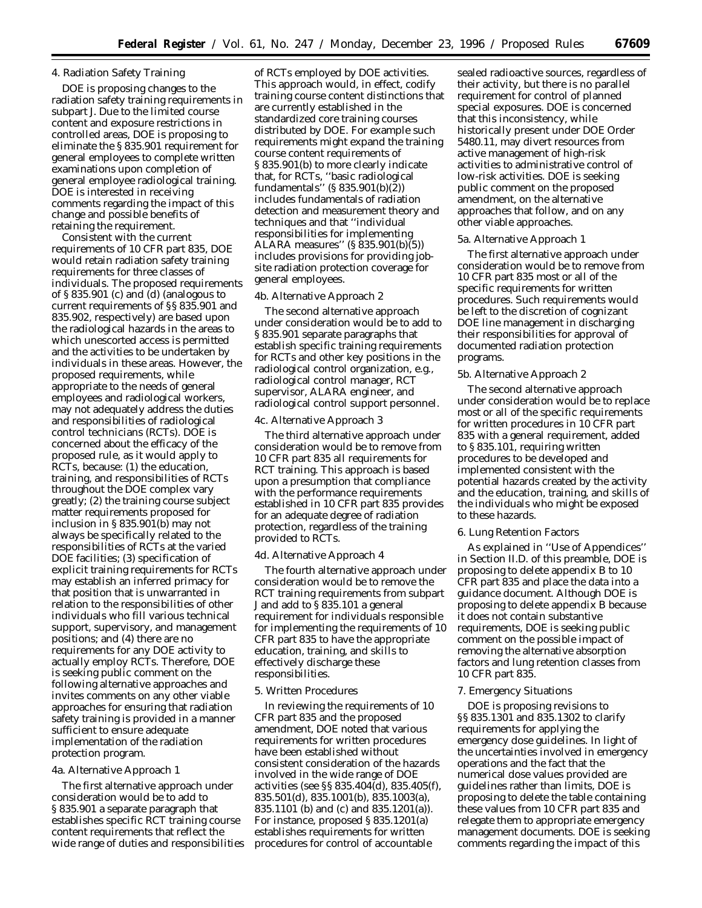### 4. Radiation Safety Training

DOE is proposing changes to the radiation safety training requirements in subpart J. Due to the limited course content and exposure restrictions in controlled areas, DOE is proposing to eliminate the § 835.901 requirement for general employees to complete written examinations upon completion of general employee radiological training. DOE is interested in receiving comments regarding the impact of this change and possible benefits of retaining the requirement.

Consistent with the current requirements of 10 CFR part 835, DOE would retain radiation safety training requirements for three classes of individuals. The proposed requirements of § 835.901 (c) and (d) (analogous to current requirements of §§ 835.901 and 835.902, respectively) are based upon the radiological hazards in the areas to which unescorted access is permitted and the activities to be undertaken by individuals in these areas. However, the proposed requirements, while appropriate to the needs of general employees and radiological workers, may not adequately address the duties and responsibilities of radiological control technicians (RCTs). DOE is concerned about the efficacy of the proposed rule, as it would apply to RCTs, because: (1) the education, training, and responsibilities of RCTs throughout the DOE complex vary greatly; (2) the training course subject matter requirements proposed for inclusion in § 835.901(b) may not always be specifically related to the responsibilities of RCTs at the varied DOE facilities; (3) specification of explicit training requirements for RCTs may establish an inferred primacy for that position that is unwarranted in relation to the responsibilities of other individuals who fill various technical support, supervisory, and management positions; and (4) there are no requirements for any DOE activity to actually employ RCTs. Therefore, DOE is seeking public comment on the following alternative approaches and invites comments on any other viable approaches for ensuring that radiation safety training is provided in a manner sufficient to ensure adequate implementation of the radiation protection program.

#### 4a. Alternative Approach 1

The first alternative approach under consideration would be to add to § 835.901 a separate paragraph that establishes specific RCT training course content requirements that reflect the wide range of duties and responsibilities

of RCTs employed by DOE activities. This approach would, in effect, codify training course content distinctions that are currently established in the standardized core training courses distributed by DOE. For example such requirements might expand the training course content requirements of § 835.901(b) to more clearly indicate that, for RCTs, ''basic radiological fundamentals"  $(S 835.901(b)(\bar{2}))$ includes fundamentals of radiation detection and measurement theory and techniques and that ''individual responsibilities for implementing ALARA measures'' (§ 835.901(b)(5)) includes provisions for providing jobsite radiation protection coverage for general employees.

### 4b. Alternative Approach 2

The second alternative approach under consideration would be to add to § 835.901 separate paragraphs that establish specific training requirements for RCTs and other key positions in the radiological control organization, e.g., radiological control manager, RCT supervisor, ALARA engineer, and radiological control support personnel.

### 4c. Alternative Approach 3

The third alternative approach under consideration would be to remove from 10 CFR part 835 all requirements for RCT training. This approach is based upon a presumption that compliance with the performance requirements established in 10 CFR part 835 provides for an adequate degree of radiation protection, regardless of the training provided to RCTs.

#### 4d. Alternative Approach 4

The fourth alternative approach under consideration would be to remove the RCT training requirements from subpart J and add to § 835.101 a general requirement for individuals responsible for implementing the requirements of 10 CFR part 835 to have the appropriate education, training, and skills to effectively discharge these responsibilities.

### 5. Written Procedures

In reviewing the requirements of 10 CFR part 835 and the proposed amendment, DOE noted that various requirements for written procedures have been established without consistent consideration of the hazards involved in the wide range of DOE activities (see  $\S$ § 835.404 $\bar{d}$ d), 835.405 $(f)$ , 835.501(d), 835.1001(b), 835.1003(a), 835.1101 (b) and (c) and 835.1201(a)). For instance, proposed § 835.1201(a) establishes requirements for written procedures for control of accountable

sealed radioactive sources, regardless of their activity, but there is no parallel requirement for control of planned special exposures. DOE is concerned that this inconsistency, while historically present under DOE Order 5480.11, may divert resources from active management of high-risk activities to administrative control of low-risk activities. DOE is seeking public comment on the proposed amendment, on the alternative approaches that follow, and on any other viable approaches.

### 5a. Alternative Approach 1

The first alternative approach under consideration would be to remove from 10 CFR part 835 most or all of the specific requirements for written procedures. Such requirements would be left to the discretion of cognizant DOE line management in discharging their responsibilities for approval of documented radiation protection programs.

#### 5b. Alternative Approach 2

The second alternative approach under consideration would be to replace most or all of the specific requirements for written procedures in 10 CFR part 835 with a general requirement, added to § 835.101, requiring written procedures to be developed and implemented consistent with the potential hazards created by the activity and the education, training, and skills of the individuals who might be exposed to these hazards.

#### 6. Lung Retention Factors

As explained in ''Use of Appendices'' in Section II.D. of this preamble, DOE is proposing to delete appendix B to 10 CFR part 835 and place the data into a guidance document. Although DOE is proposing to delete appendix B because it does not contain substantive requirements, DOE is seeking public comment on the possible impact of removing the alternative absorption factors and lung retention classes from 10 CFR part 835.

#### 7. Emergency Situations

DOE is proposing revisions to §§ 835.1301 and 835.1302 to clarify requirements for applying the emergency dose guidelines. In light of the uncertainties involved in emergency operations and the fact that the numerical dose values provided are guidelines rather than limits, DOE is proposing to delete the table containing these values from 10 CFR part 835 and relegate them to appropriate emergency management documents. DOE is seeking comments regarding the impact of this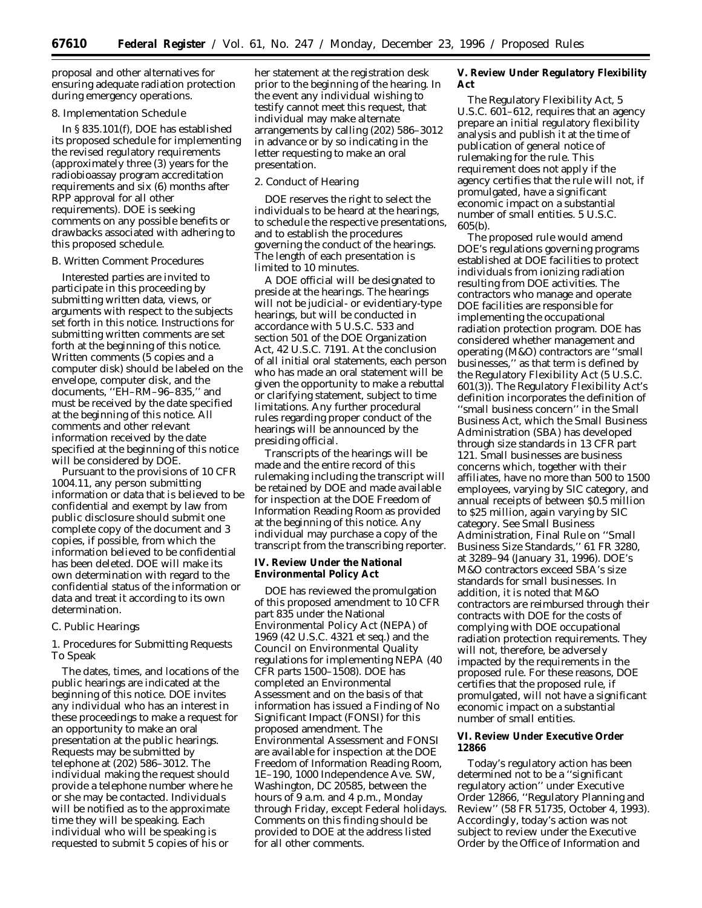proposal and other alternatives for ensuring adequate radiation protection during emergency operations.

### 8. Implementation Schedule

In § 835.101(f), DOE has established its proposed schedule for implementing the revised regulatory requirements (approximately three (3) years for the radiobioassay program accreditation requirements and six (6) months after RPP approval for all other requirements). DOE is seeking comments on any possible benefits or drawbacks associated with adhering to this proposed schedule.

#### *B. Written Comment Procedures*

Interested parties are invited to participate in this proceeding by submitting written data, views, or arguments with respect to the subjects set forth in this notice. Instructions for submitting written comments are set forth at the beginning of this notice. Written comments (5 copies and a computer disk) should be labeled on the envelope, computer disk, and the documents, ''EH–RM–96–835,'' and must be received by the date specified at the beginning of this notice. All comments and other relevant information received by the date specified at the beginning of this notice will be considered by DOE.

Pursuant to the provisions of 10 CFR 1004.11, any person submitting information or data that is believed to be confidential and exempt by law from public disclosure should submit one complete copy of the document and 3 copies, if possible, from which the information believed to be confidential has been deleted. DOE will make its own determination with regard to the confidential status of the information or data and treat it according to its own determination.

#### *C. Public Hearings*

1. Procedures for Submitting Requests To Speak

The dates, times, and locations of the public hearings are indicated at the beginning of this notice. DOE invites any individual who has an interest in these proceedings to make a request for an opportunity to make an oral presentation at the public hearings. Requests may be submitted by telephone at (202) 586–3012. The individual making the request should provide a telephone number where he or she may be contacted. Individuals will be notified as to the approximate time they will be speaking. Each individual who will be speaking is requested to submit 5 copies of his or

her statement at the registration desk prior to the beginning of the hearing. In the event any individual wishing to testify cannot meet this request, that individual may make alternate arrangements by calling (202) 586–3012 in advance or by so indicating in the letter requesting to make an oral presentation.

### 2. Conduct of Hearing

DOE reserves the right to select the individuals to be heard at the hearings, to schedule the respective presentations, and to establish the procedures governing the conduct of the hearings. The length of each presentation is limited to 10 minutes.

A DOE official will be designated to preside at the hearings. The hearings will not be judicial- or evidentiary-type hearings, but will be conducted in accordance with 5 U.S.C. 533 and section 501 of the DOE Organization Act, 42 U.S.C. 7191. At the conclusion of all initial oral statements, each person who has made an oral statement will be given the opportunity to make a rebuttal or clarifying statement, subject to time limitations. Any further procedural rules regarding proper conduct of the hearings will be announced by the presiding official.

Transcripts of the hearings will be made and the entire record of this rulemaking including the transcript will be retained by DOE and made available for inspection at the DOE Freedom of Information Reading Room as provided at the beginning of this notice. Any individual may purchase a copy of the transcript from the transcribing reporter.

**IV. Review Under the National Environmental Policy Act**

DOE has reviewed the promulgation of this proposed amendment to 10 CFR part 835 under the National Environmental Policy Act (NEPA) of 1969 (42 U.S.C. 4321 *et seq.*) and the Council on Environmental Quality regulations for implementing NEPA (40 CFR parts 1500–1508). DOE has completed an Environmental Assessment and on the basis of that information has issued a Finding of No Significant Impact (FONSI) for this proposed amendment. The Environmental Assessment and FONSI are available for inspection at the DOE Freedom of Information Reading Room, 1E–190, 1000 Independence Ave. SW, Washington, DC 20585, between the hours of 9 a.m. and 4 p.m., Monday through Friday, except Federal holidays. Comments on this finding should be provided to DOE at the address listed for all other comments.

**V. Review Under Regulatory Flexibility Act**

The Regulatory Flexibility Act, 5 U.S.C. 601–612, requires that an agency prepare an initial regulatory flexibility analysis and publish it at the time of publication of general notice of rulemaking for the rule. This requirement does not apply if the agency certifies that the rule will not, if promulgated, have a significant economic impact on a substantial number of small entities. 5 U.S.C. 605(b).

The proposed rule would amend DOE's regulations governing programs established at DOE facilities to protect individuals from ionizing radiation resulting from DOE activities. The contractors who manage and operate DOE facilities are responsible for implementing the occupational radiation protection program. DOE has considered whether management and operating (M&O) contractors are ''small businesses,'' as that term is defined by the Regulatory Flexibility Act (5 U.S.C. 601(3)). The Regulatory Flexibility Act's definition incorporates the definition of ''small business concern'' in the Small Business Act, which the Small Business Administration (SBA) has developed through size standards in 13 CFR part 121. Small businesses are business concerns which, together with their affiliates, have no more than 500 to 1500 employees, varying by SIC category, and annual receipts of between \$0.5 million to \$25 million, again varying by SIC category. See Small Business Administration, Final Rule on ''Small Business Size Standards,'' 61 FR 3280, at 3289–94 (January 31, 1996). DOE's M&O contractors exceed SBA's size standards for small businesses. In addition, it is noted that M&O contractors are reimbursed through their contracts with DOE for the costs of complying with DOE occupational radiation protection requirements. They will not, therefore, be adversely impacted by the requirements in the proposed rule. For these reasons, DOE certifies that the proposed rule, if promulgated, will not have a significant economic impact on a substantial number of small entities.

### **VI. Review Under Executive Order 12866**

Today's regulatory action has been determined not to be a ''significant regulatory action'' under Executive Order 12866, ''Regulatory Planning and Review'' (58 FR 51735, October 4, 1993). Accordingly, today's action was not subject to review under the Executive Order by the Office of Information and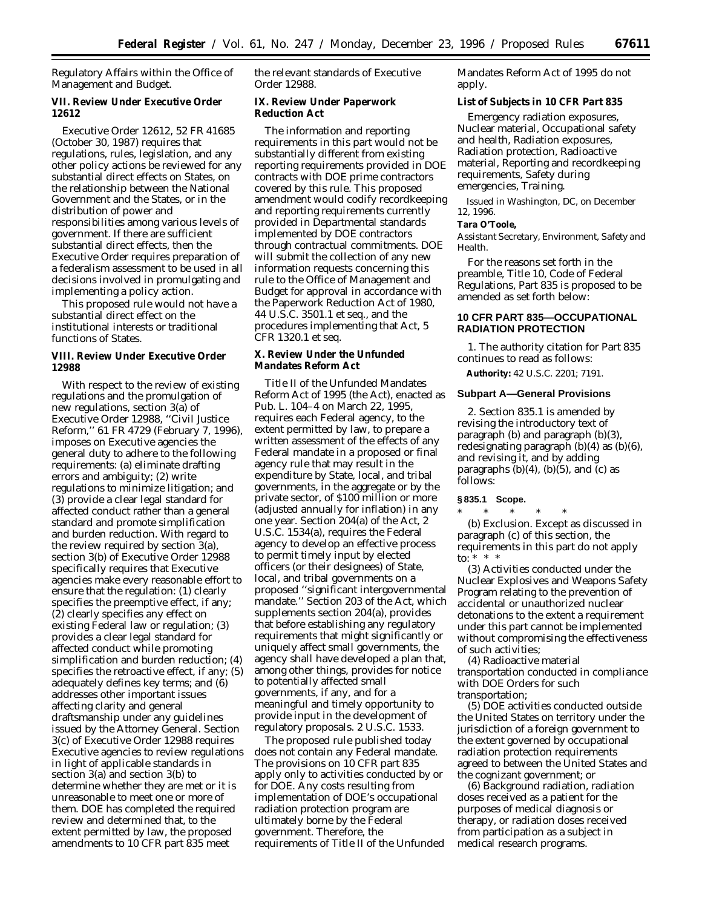Regulatory Affairs within the Office of Management and Budget.

**VII. Review Under Executive Order 12612**

Executive Order 12612, 52 FR 41685 (October 30, 1987) requires that regulations, rules, legislation, and any other policy actions be reviewed for any substantial direct effects on States, on the relationship between the National Government and the States, or in the distribution of power and responsibilities among various levels of government. If there are sufficient substantial direct effects, then the Executive Order requires preparation of a federalism assessment to be used in all decisions involved in promulgating and implementing a policy action.

This proposed rule would not have a substantial direct effect on the institutional interests or traditional functions of States.

**VIII. Review Under Executive Order 12988**

With respect to the review of existing regulations and the promulgation of new regulations, section 3(a) of Executive Order 12988, ''Civil Justice Reform,'' 61 FR 4729 (February 7, 1996), imposes on Executive agencies the general duty to adhere to the following requirements: (a) eliminate drafting errors and ambiguity; (2) write regulations to minimize litigation; and (3) provide a clear legal standard for affected conduct rather than a general standard and promote simplification and burden reduction. With regard to the review required by section 3(a), section 3(b) of Executive Order 12988 specifically requires that Executive agencies make every reasonable effort to ensure that the regulation: (1) clearly specifies the preemptive effect, if any; (2) clearly specifies any effect on existing Federal law or regulation; (3) provides a clear legal standard for affected conduct while promoting simplification and burden reduction; (4) specifies the retroactive effect, if any; (5) adequately defines key terms; and (6) addresses other important issues affecting clarity and general draftsmanship under any guidelines issued by the Attorney General. Section 3(c) of Executive Order 12988 requires Executive agencies to review regulations in light of applicable standards in section 3(a) and section 3(b) to determine whether they are met or it is unreasonable to meet one or more of them. DOE has completed the required review and determined that, to the extent permitted by law, the proposed amendments to 10 CFR part 835 meet

the relevant standards of Executive Order 12988.

**IX. Review Under Paperwork Reduction Act**

The information and reporting requirements in this part would not be substantially different from existing reporting requirements provided in DOE contracts with DOE prime contractors covered by this rule. This proposed amendment would codify recordkeeping and reporting requirements currently provided in Departmental standards implemented by DOE contractors through contractual commitments. DOE will submit the collection of any new information requests concerning this rule to the Office of Management and Budget for approval in accordance with the Paperwork Reduction Act of 1980, 44 U.S.C. 3501.1 *et seq.,* and the procedures implementing that Act, 5 CFR 1320.1 *et seq.*

**X. Review Under the Unfunded Mandates Reform Act**

Title II of the Unfunded Mandates Reform Act of 1995 (the Act), enacted as Pub. L. 104–4 on March 22, 1995, requires each Federal agency, to the extent permitted by law, to prepare a written assessment of the effects of any Federal mandate in a proposed or final agency rule that may result in the expenditure by State, local, and tribal governments, in the aggregate or by the private sector, of \$100 million or more (adjusted annually for inflation) in any one year. Section 204(a) of the Act, 2 U.S.C. 1534(a), requires the Federal agency to develop an effective process to permit timely input by elected officers (or their designees) of State, local, and tribal governments on a proposed ''significant intergovernmental mandate.'' Section 203 of the Act, which supplements section 204(a), provides that before establishing any regulatory requirements that might significantly or uniquely affect small governments, the agency shall have developed a plan that, among other things, provides for notice to potentially affected small governments, if any, and for a meaningful and timely opportunity to provide input in the development of regulatory proposals. 2 U.S.C. 1533.

The proposed rule published today does not contain any Federal mandate. The provisions on 10 CFR part 835 apply only to activities conducted by or for DOE. Any costs resulting from implementation of DOE's occupational radiation protection program are ultimately borne by the Federal government. Therefore, the requirements of Title II of the Unfunded Mandates Reform Act of 1995 do not apply.

**List of Subjects in 10 CFR Part 835**

Emergency radiation exposures, Nuclear material, Occupational safety and health, Radiation exposures, Radiation protection, Radioactive material, Reporting and recordkeeping requirements, Safety during emergencies, Training.

Issued in Washington, DC, on December 12, 1996.

**Tara O'Toole,**

*Assistant Secretary, Environment, Safety and Health.*

For the reasons set forth in the preamble, Title 10, Code of Federal Regulations, Part 835 is proposed to be amended as set forth below:

### **10 CFR PART 835—OCCUPATIONAL RADIATION PROTECTION**

1. The authority citation for Part 835 continues to read as follows:

**Authority:** 42 U.S.C. 2201; 7191.

### **Subpart A—General Provisions**

2. Section 835.1 is amended by revising the introductory text of paragraph (b) and paragraph (b)(3), redesignating paragraph  $(b)(4)$  as  $(b)(6)$ , and revising it, and by adding paragraphs  $(b)(4)$ ,  $(b)(5)$ , and  $(c)$  as follows:

# **§ 835.1 Scope.**

\* \* \* \* \* (b) *Exclusion.* Except as discussed in paragraph (c) of this section, the requirements in this part do not apply to: \* \* \*

(3) Activities conducted under the Nuclear Explosives and Weapons Safety Program relating to the prevention of accidental or unauthorized nuclear detonations to the extent a requirement under this part cannot be implemented without compromising the effectiveness of such activities;

(4) Radioactive material transportation conducted in compliance with DOE Orders for such transportation;

(5) DOE activities conducted outside the United States on territory under the jurisdiction of a foreign government to the extent governed by occupational radiation protection requirements agreed to between the United States and the cognizant government; or

(6) Background radiation, radiation doses received as a patient for the purposes of medical diagnosis or therapy, or radiation doses received from participation as a subject in medical research programs.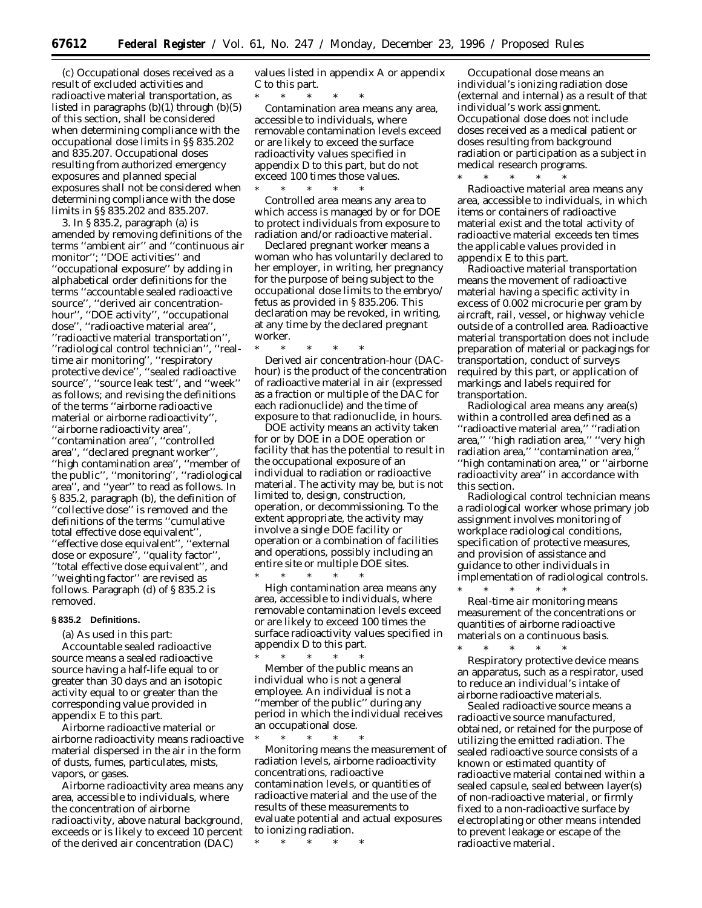(c) Occupational doses received as a result of excluded activities and radioactive material transportation, as listed in paragraphs (b)(1) through (b)(5) of this section, shall be considered when determining compliance with the occupational dose limits in §§ 835.202 and 835.207. Occupational doses resulting from authorized emergency exposures and planned special exposures shall not be considered when determining compliance with the dose limits in §§ 835.202 and 835.207.

3. In § 835.2, paragraph (a) is amended by removing definitions of the terms ''ambient air'' and ''continuous air monitor''; ''DOE activities'' and ''occupational exposure'' by adding in alphabetical order definitions for the terms ''accountable sealed radioactive source'', ''derived air concentrationhour'', ''DOE activity'', ''occupational dose'', ''radioactive material area'', ''radioactive material transportation'', ''radiological control technician'', ''realtime air monitoring'', ''respiratory protective device'', ''sealed radioactive source'', ''source leak test'', and ''week'' as follows; and revising the definitions of the terms ''airborne radioactive material or airborne radioactivity'', ''airborne radioactivity area'', ''contamination area'', ''controlled area'', ''declared pregnant worker'', ''high contamination area'', ''member of the public'', ''monitoring'', ''radiological area'', and ''year'' to read as follows. In § 835.2, paragraph (b), the definition of 'collective dose'' is removed and the definitions of the terms ''cumulative total effective dose equivalent'', ''effective dose equivalent'', ''external dose or exposure'', ''quality factor'', ''total effective dose equivalent'', and ''weighting factor'' are revised as follows. Paragraph (d) of § 835.2 is removed.

### **§ 835.2 Definitions.**

(a) As used in this part:

*Accountable sealed radioactive source* means a sealed radioactive source having a half-life equal to or greater than 30 days and an isotopic activity equal to or greater than the corresponding value provided in appendix E to this part.

*Airborne radioactive material or airborne radioactivity* means radioactive material dispersed in the air in the form of dusts, fumes, particulates, mists, vapors, or gases.

*Airborne radioactivity area* means any area, accessible to individuals, where the concentration of airborne radioactivity, above natural background, exceeds or is likely to exceed 10 percent of the derived air concentration (DAC)

values listed in appendix A or appendix C to this part.

\* \* \* \* \* *Contamination area* means any area, accessible to individuals, where removable contamination levels exceed or are likely to exceed the surface radioactivity values specified in appendix D to this part, but do not exceed 100 times those values. \* \* \* \* \*

*Controlled area* means any area to which access is managed by or for DOE to protect individuals from exposure to radiation and/or radioactive material.

*Declared pregnant worker* means a woman who has voluntarily declared to her employer, in writing, her pregnancy for the purpose of being subject to the occupational dose limits to the embryo/ fetus as provided in § 835.206. This declaration may be revoked, in writing, at any time by the declared pregnant worker.

\* \* \* \* \* *Derived air concentration-hour (DAChour)* is the product of the concentration of radioactive material in air (expressed as a fraction or multiple of the DAC for each radionuclide) and the time of exposure to that radionuclide, in hours.

*DOE activity* means an activity taken for or by DOE in a DOE operation or facility that has the potential to result in the occupational exposure of an individual to radiation or radioactive material. The activity may be, but is not limited to, design, construction, operation, or decommissioning. To the extent appropriate, the activity may involve a single DOE facility or operation or a combination of facilities and operations, possibly including an entire site or multiple DOE sites.

\* \* \* \* \* *High contamination area* means any area, accessible to individuals, where removable contamination levels exceed or are likely to exceed 100 times the surface radioactivity values specified in appendix D to this part.

\* \* \* \* \* *Member of the public* means an individual who is not a general employee. An individual is not a ''member of the public'' during any period in which the individual receives an occupational dose.

\* \* \* \* \* *Monitoring* means the measurement of radiation levels, airborne radioactivity concentrations, radioactive contamination levels, or quantities of radioactive material and the use of the results of these measurements to evaluate potential and actual exposures to ionizing radiation.

\* \* \* \* \*

*Occupational dose* means an individual's ionizing radiation dose (external and internal) as a result of that individual's work assignment. Occupational dose does not include doses received as a medical patient or doses resulting from background radiation or participation as a subject in medical research programs.

\* \* \* \* \* *Radioactive material area* means any area, accessible to individuals, in which items or containers of radioactive material exist and the total activity of radioactive material exceeds ten times the applicable values provided in appendix E to this part.

*Radioactive material transportation* means the movement of radioactive material having a specific activity in excess of 0.002 microcurie per gram by aircraft, rail, vessel, or highway vehicle outside of a controlled area. Radioactive material transportation does not include preparation of material or packagings for transportation, conduct of surveys required by this part, or application of markings and labels required for transportation.

*Radiological area* means any area(s) within a controlled area defined as a ''radioactive material area,'' ''radiation area,'' ''high radiation area,'' ''very high radiation area," "contamination area, ''high contamination area,'' or ''airborne radioactivity area'' in accordance with this section.

*Radiological control technician* means a radiological worker whose primary job assignment involves monitoring of workplace radiological conditions, specification of protective measures, and provision of assistance and guidance to other individuals in implementation of radiological controls.

\* \* \* \* \* *Real-time air monitoring* means measurement of the concentrations or quantities of airborne radioactive materials on a continuous basis.

\* \* \* \* \* *Respiratory protective device* means an apparatus, such as a respirator, used to reduce an individual's intake of airborne radioactive materials.

*Sealed radioactive source* means a radioactive source manufactured, obtained, or retained for the purpose of utilizing the emitted radiation. The sealed radioactive source consists of a known or estimated quantity of radioactive material contained within a sealed capsule, sealed between layer(s) of non-radioactive material, or firmly fixed to a non-radioactive surface by electroplating or other means intended to prevent leakage or escape of the radioactive material.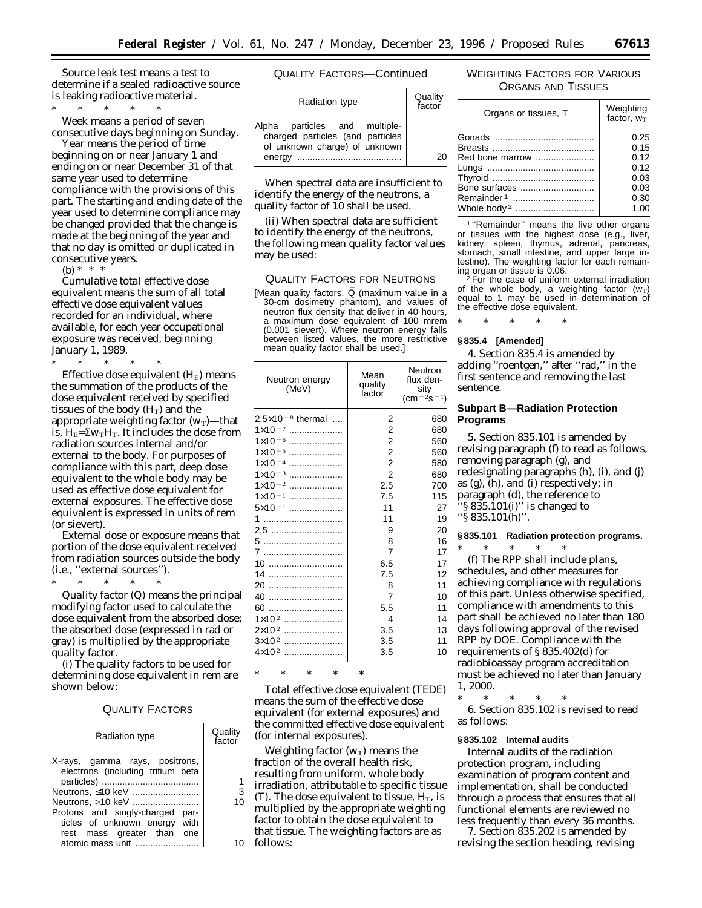*Source leak test* means a test to determine if a sealed radioactive source is leaking radioactive material.

\* \* \* \* \*

*Week* means a period of seven consecutive days beginning on Sunday.

*Year* means the period of time beginning on or near January 1 and ending on or near December 31 of that same year used to determine compliance with the provisions of this part. The starting and ending date of the year used to determine compliance may be changed provided that the change is made at the beginning of the year and that no day is omitted or duplicated in consecutive years.

(b) \* \* \*

*Cumulative total effective dose equivalent* means the sum of all total effective dose equivalent values recorded for an individual, where available, for each year occupational exposure was received, beginning January 1, 1989.

\* \* \* \* \* *Effective dose equivalent* (H<sub>E</sub>) means the summation of the products of the dose equivalent received by specified tissues of the body  $(H_T)$  and the appropriate weighting factor  $(w_T)$ —that is,  $H_E = \Sigma w_T H_T$ . It includes the dose from radiation sources internal and/or external to the body. For purposes of compliance with this part, deep dose equivalent to the whole body may be used as effective dose equivalent for external exposures. The effective dose equivalent is expressed in units of rem (or sievert).

*External dose or exposure* means that portion of the dose equivalent received from radiation sources outside the body (i.e., ''external sources'').

\* \* \* \* \*

*Quality factor* (Q) means the principal modifying factor used to calculate the dose equivalent from the absorbed dose; the absorbed dose (expressed in rad or gray) is multiplied by the appropriate quality factor.

(i) The quality factors to be used for determining dose equivalent in rem are shown below:

### QUALITY FACTORS

| <b>Radiation type</b>                                                                                                                                                                      | Quality<br>factor |
|--------------------------------------------------------------------------------------------------------------------------------------------------------------------------------------------|-------------------|
| X-rays, gamma rays, positrons,<br>electrons (including tritium beta<br>Neutrons, >10 keV<br>Protons and singly-charged par-<br>ticles of unknown energy with<br>rest mass greater than one | 3<br>10           |
| atomic mass unit                                                                                                                                                                           |                   |

QUALITY FACTORS—Continued

| Radiation type                                                                                               | Quality<br>factor |
|--------------------------------------------------------------------------------------------------------------|-------------------|
| Alpha particles and multiple-<br>charged particles (and particles<br>of unknown charge) of unknown<br>energy |                   |

When spectral data are insufficient to identify the energy of the neutrons, a quality factor of 10 shall be used.

(ii) When spectral data are sufficient to identify the energy of the neutrons, the following mean quality factor values may be used:

### QUALITY FACTORS FOR NEUTRONS

[Mean quality factors, Q (maximum value in a 30-cm dosimetry phantom), and values of neutron flux density that deliver in 40 hours, a maximum dose equivalent of 100 mrem (0.001 sievert). Where neutron energy falls between listed values, the more restrictive mean quality factor shall be used.]

| $2.5\times10^{-8}$ thermal<br>2<br>680<br>2<br>$1 \times 10^{-7}$<br>680<br>2<br>$1 \times 10^{-6}$<br>560<br>$\overline{2}$<br>$1 \times 10^{-5}$<br>560<br><br>2<br>580<br>$1 \times 10^{-4}$<br>2<br>$1 \times 10^{-3}$<br>680<br>2.5<br>700<br>$1 \times 10^{-2}$<br>7.5<br>115<br>$1 \times 10^{-1}$<br>$5 \times 10^{-1}$<br>11<br>27<br>11<br>19<br>1<br>20<br>9<br>8<br>5<br>16<br>7<br>17<br>6.5<br>17<br>7.5<br>12<br>14<br>11<br>20<br>8<br>7<br>10<br>40<br>5.5<br>11<br>60<br>$1 \times 10^{2}$<br>4<br>14<br>$2\times10^2$<br>3.5<br>13<br>$3 \times 10^{2}$<br>3.5<br>11<br>$4 \times 10^{2}$<br>3.5<br>10 | Neutron energy<br>(MeV) | Mean<br>quality<br>factor | Neutron<br>flux den-<br>sity<br>$(cm-2s-1)$ |
|---------------------------------------------------------------------------------------------------------------------------------------------------------------------------------------------------------------------------------------------------------------------------------------------------------------------------------------------------------------------------------------------------------------------------------------------------------------------------------------------------------------------------------------------------------------------------------------------------------------------------|-------------------------|---------------------------|---------------------------------------------|
|                                                                                                                                                                                                                                                                                                                                                                                                                                                                                                                                                                                                                           |                         |                           |                                             |
|                                                                                                                                                                                                                                                                                                                                                                                                                                                                                                                                                                                                                           |                         |                           |                                             |
|                                                                                                                                                                                                                                                                                                                                                                                                                                                                                                                                                                                                                           |                         |                           |                                             |
|                                                                                                                                                                                                                                                                                                                                                                                                                                                                                                                                                                                                                           |                         |                           |                                             |
|                                                                                                                                                                                                                                                                                                                                                                                                                                                                                                                                                                                                                           |                         |                           |                                             |
|                                                                                                                                                                                                                                                                                                                                                                                                                                                                                                                                                                                                                           |                         |                           |                                             |
|                                                                                                                                                                                                                                                                                                                                                                                                                                                                                                                                                                                                                           |                         |                           |                                             |
|                                                                                                                                                                                                                                                                                                                                                                                                                                                                                                                                                                                                                           |                         |                           |                                             |
|                                                                                                                                                                                                                                                                                                                                                                                                                                                                                                                                                                                                                           |                         |                           |                                             |
|                                                                                                                                                                                                                                                                                                                                                                                                                                                                                                                                                                                                                           |                         |                           |                                             |
|                                                                                                                                                                                                                                                                                                                                                                                                                                                                                                                                                                                                                           |                         |                           |                                             |
|                                                                                                                                                                                                                                                                                                                                                                                                                                                                                                                                                                                                                           |                         |                           |                                             |
|                                                                                                                                                                                                                                                                                                                                                                                                                                                                                                                                                                                                                           |                         |                           |                                             |
|                                                                                                                                                                                                                                                                                                                                                                                                                                                                                                                                                                                                                           |                         |                           |                                             |
|                                                                                                                                                                                                                                                                                                                                                                                                                                                                                                                                                                                                                           |                         |                           |                                             |
|                                                                                                                                                                                                                                                                                                                                                                                                                                                                                                                                                                                                                           |                         |                           |                                             |
|                                                                                                                                                                                                                                                                                                                                                                                                                                                                                                                                                                                                                           |                         |                           |                                             |
|                                                                                                                                                                                                                                                                                                                                                                                                                                                                                                                                                                                                                           |                         |                           |                                             |
|                                                                                                                                                                                                                                                                                                                                                                                                                                                                                                                                                                                                                           |                         |                           |                                             |
|                                                                                                                                                                                                                                                                                                                                                                                                                                                                                                                                                                                                                           |                         |                           |                                             |
|                                                                                                                                                                                                                                                                                                                                                                                                                                                                                                                                                                                                                           |                         |                           |                                             |
|                                                                                                                                                                                                                                                                                                                                                                                                                                                                                                                                                                                                                           |                         |                           |                                             |

# \* \* \* \* \*

*Total effective dose equivalent* (TEDE) means the sum of the effective dose equivalent (for external exposures) and the committed effective dose equivalent (for internal exposures).

*Weighting factor*  $(w_T)$  means the fraction of the overall health risk, resulting from uniform, whole body irradiation, attributable to specific tissue (T). The dose equivalent to tissue,  $H_T$ , is multiplied by the appropriate weighting factor to obtain the dose equivalent to that tissue. The weighting factors are as follows:

### WEIGHTING FACTORS FOR VARIOUS ORGANS AND TISSUES

| Organs or tissues, T                  | Weighting<br>factor, $w_T$ |
|---------------------------------------|----------------------------|
|                                       | 0.25<br>0.15               |
| Red bone marrow                       | 0.12                       |
|                                       | 0.12<br>0.03               |
| Bone surfaces                         | 0.03                       |
| Remainder1<br>Whole body <sup>2</sup> | 0.30<br>1.00               |
|                                       |                            |

1 ''Remainder'' means the five other organs or tissues with the highest dose (e.g., liver, kidney, spleen, thymus, adrenal, pancreas, stomach, small intestine, and upper large intestine). The weighting factor for each remaining organ or tissue is 0.06. 2For the case of uniform external irradiation

of the whole body, a weighting factor  $(w_T)$ <br>equal to 1 may be used in determination of the effective dose equivalent.

\* \* \* \* \*

# **§ 835.4 [Amended]**

4. Section 835.4 is amended by adding ''roentgen,'' after ''rad,'' in the first sentence and removing the last sentence.

### **Subpart B—Radiation Protection Programs**

5. Section 835.101 is amended by revising paragraph (f) to read as follows, removing paragraph (g), and redesignating paragraphs (h), (i), and (j) as (g), (h), and (i) respectively; in paragraph (d), the reference to 'S  $835.101(i)$ " is changed to ''§ 835.101(h)''.

# **§ 835.101 Radiation protection programs.** \* \* \* \* \*

(f) The RPP shall include plans, schedules, and other measures for achieving compliance with regulations of this part. Unless otherwise specified, compliance with amendments to this part shall be achieved no later than 180 days following approval of the revised RPP by DOE. Compliance with the requirements of § 835.402(d) for radiobioassay program accreditation must be achieved no later than January 1, 2000.

\* \* \* \* \*

6. Section 835.102 is revised to read as follows:

#### **§ 835.102 Internal audits**

Internal audits of the radiation protection program, including examination of program content and implementation, shall be conducted through a process that ensures that all functional elements are reviewed no less frequently than every 36 months.

7. Section 835.202 is amended by revising the section heading, revising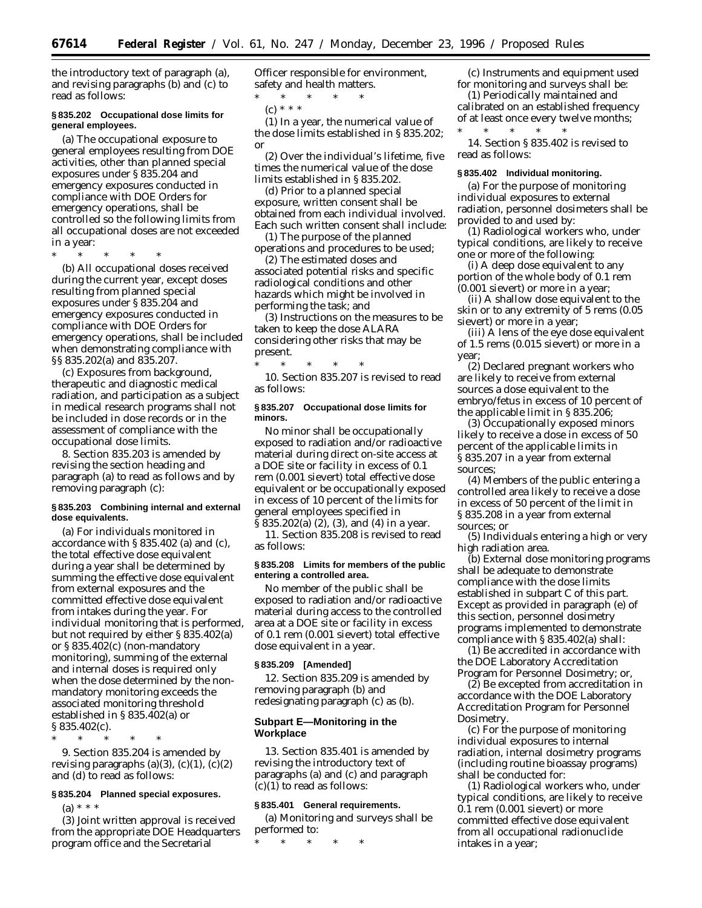the introductory text of paragraph (a), and revising paragraphs (b) and (c) to read as follows:

### **§ 835.202 Occupational dose limits for general employees.**

(a) The occupational exposure to general employees resulting from DOE activities, other than planned special exposures under § 835.204 and emergency exposures conducted in compliance with DOE Orders for emergency operations, shall be controlled so the following limits from all occupational doses are not exceeded in a year:

\* \* \* \* \*

(b) All occupational doses received during the current year, except doses resulting from planned special exposures under § 835.204 and emergency exposures conducted in compliance with DOE Orders for emergency operations, shall be included when demonstrating compliance with §§ 835.202(a) and 835.207.

(c) Exposures from background, therapeutic and diagnostic medical radiation, and participation as a subject in medical research programs shall not be included in dose records or in the assessment of compliance with the occupational dose limits.

8. Section 835.203 is amended by revising the section heading and paragraph (a) to read as follows and by removing paragraph (c):

### **§ 835.203 Combining internal and external dose equivalents.**

(a) For individuals monitored in accordance with § 835.402 (a) and (c), the total effective dose equivalent during a year shall be determined by summing the effective dose equivalent from external exposures and the committed effective dose equivalent from intakes during the year. For individual monitoring that is performed, but not required by either § 835.402(a) or § 835.402(c) (non-mandatory monitoring), summing of the external and internal doses is required only when the dose determined by the nonmandatory monitoring exceeds the associated monitoring threshold established in § 835.402(a) or § 835.402(c).

\* \* \* \* \* 9. Section 835.204 is amended by revising paragraphs  $(a)(3)$ ,  $(c)(1)$ ,  $(c)(2)$ and (d) to read as follows:

### **§ 835.204 Planned special exposures.**

 $(a) * * * *$ 

(3) Joint written approval is received from the appropriate DOE Headquarters program office and the Secretarial

Officer responsible for environment, safety and health matters.

\* \* \* \* \*  $(c) * * * *$ 

(1) In a year, the numerical value of the dose limits established in § 835.202; or

(2) Over the individual's lifetime, five times the numerical value of the dose limits established in § 835.202.

(d) Prior to a planned special exposure, written consent shall be obtained from each individual involved. Each such written consent shall include:

(1) The purpose of the planned operations and procedures to be used;

(2) The estimated doses and associated potential risks and specific radiological conditions and other hazards which might be involved in performing the task; and

(3) Instructions on the measures to be taken to keep the dose ALARA considering other risks that may be present.

\* \* \* \* \* 10. Section 835.207 is revised to read as follows:

### **§ 835.207 Occupational dose limits for minors.**

No minor shall be occupationally exposed to radiation and/or radioactive material during direct on-site access at a DOE site or facility in excess of 0.1 rem (0.001 sievert) total effective dose equivalent or be occupationally exposed in excess of 10 percent of the limits for general employees specified in § 835.202(a) (2), (3), and (4) in a year.

11. Section 835.208 is revised to read as follows:

### **§ 835.208 Limits for members of the public entering a controlled area.**

No member of the public shall be exposed to radiation and/or radioactive material during access to the controlled area at a DOE site or facility in excess of 0.1 rem (0.001 sievert) total effective dose equivalent in a year.

#### **§ 835.209 [Amended]**

12. Section 835.209 is amended by removing paragraph (b) and redesignating paragraph (c) as (b).

### **Subpart E—Monitoring in the Workplace**

13. Section 835.401 is amended by revising the introductory text of paragraphs (a) and (c) and paragraph  $(c)(1)$  to read as follows:

#### **§ 835.401 General requirements.**

(a) Monitoring and surveys shall be performed to:

\* \* \* \* \*

(c) Instruments and equipment used for monitoring and surveys shall be:

(1) Periodically maintained and calibrated on an established frequency of at least once every twelve months;<br>\* \* \* \* \* \* \*  $*$ 

14. Section § 835.402 is revised to read as follows:

#### **§ 835.402 Individual monitoring.**

(a) For the purpose of monitoring individual exposures to external radiation, personnel dosimeters shall be provided to and used by:

(1) Radiological workers who, under typical conditions, are likely to receive one or more of the following:

(i) A deep dose equivalent to any portion of the whole body of 0.1 rem (0.001 sievert) or more in a year;

(ii) A shallow dose equivalent to the skin or to any extremity of 5 rems (0.05 sievert) or more in a year;

(iii) A lens of the eye dose equivalent of 1.5 rems (0.015 sievert) or more in a year;

(2) Declared pregnant workers who are likely to receive from external sources a dose equivalent to the embryo/fetus in excess of 10 percent of the applicable limit in § 835.206;

(3) Occupationally exposed minors likely to receive a dose in excess of 50 percent of the applicable limits in § 835.207 in a year from external sources;

(4) Members of the public entering a controlled area likely to receive a dose in excess of 50 percent of the limit in § 835.208 in a year from external sources; or

(5) Individuals entering a high or very high radiation area.

(b) External dose monitoring programs shall be adequate to demonstrate compliance with the dose limits established in subpart C of this part. Except as provided in paragraph (e) of this section, personnel dosimetry programs implemented to demonstrate compliance with § 835.402(a) shall:

(1) Be accredited in accordance with the DOE Laboratory Accreditation Program for Personnel Dosimetry; or,

(2) Be excepted from accreditation in accordance with the DOE Laboratory Accreditation Program for Personnel Dosimetry.

(c) For the purpose of monitoring individual exposures to internal radiation, internal dosimetry programs (including routine bioassay programs) shall be conducted for:

(1) Radiological workers who, under typical conditions, are likely to receive 0.1 rem (0.001 sievert) or more committed effective dose equivalent from all occupational radionuclide intakes in a year;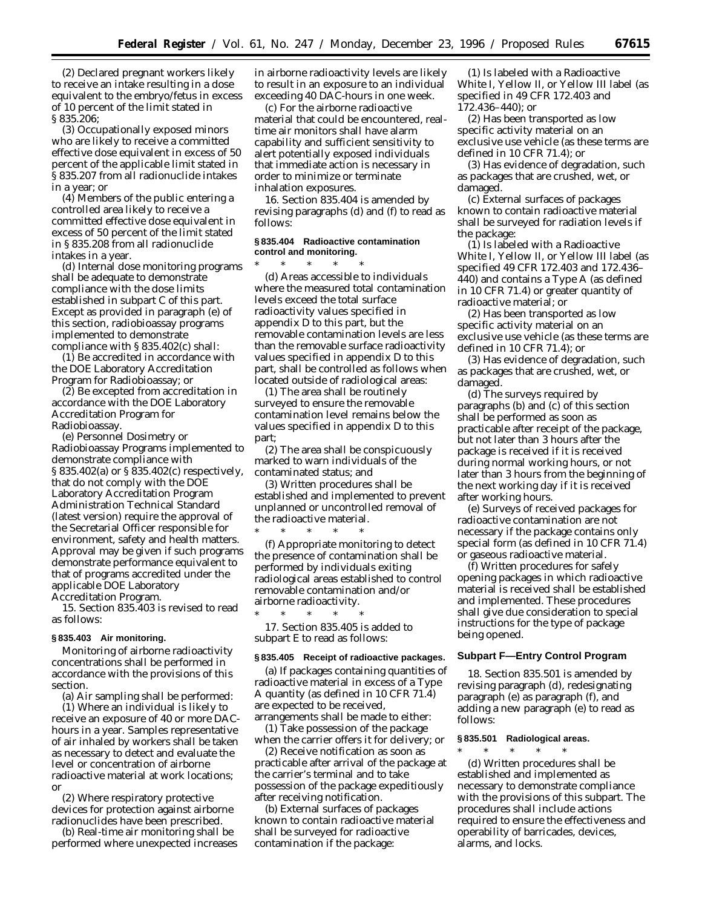(2) Declared pregnant workers likely to receive an intake resulting in a dose equivalent to the embryo/fetus in excess of 10 percent of the limit stated in § 835.206;

(3) Occupationally exposed minors who are likely to receive a committed effective dose equivalent in excess of 50 percent of the applicable limit stated in § 835.207 from all radionuclide intakes in a year; or

(4) Members of the public entering a controlled area likely to receive a committed effective dose equivalent in excess of 50 percent of the limit stated in § 835.208 from all radionuclide intakes in a year.

(d) Internal dose monitoring programs shall be adequate to demonstrate compliance with the dose limits established in subpart C of this part. Except as provided in paragraph (e) of this section, radiobioassay programs implemented to demonstrate compliance with § 835.402(c) shall:

(1) Be accredited in accordance with the DOE Laboratory Accreditation Program for Radiobioassay; or

(2) Be excepted from accreditation in accordance with the DOE Laboratory Accreditation Program for Radiobioassay.

(e) Personnel Dosimetry or Radiobioassay Programs implemented to demonstrate compliance with § 835.402(a) or § 835.402(c) respectively, that do not comply with the DOE Laboratory Accreditation Program Administration Technical Standard (latest version) require the approval of the Secretarial Officer responsible for environment, safety and health matters. Approval may be given if such programs demonstrate performance equivalent to that of programs accredited under the applicable DOE Laboratory Accreditation Program.

15. Section 835.403 is revised to read as follows:

### **§ 835.403 Air monitoring.**

Monitoring of airborne radioactivity concentrations shall be performed in accordance with the provisions of this section.

(a) Air sampling shall be performed:

(1) Where an individual is likely to receive an exposure of 40 or more DAChours in a year. Samples representative of air inhaled by workers shall be taken as necessary to detect and evaluate the level or concentration of airborne radioactive material at work locations; or

(2) Where respiratory protective devices for protection against airborne radionuclides have been prescribed.

(b) Real-time air monitoring shall be performed where unexpected increases

in airborne radioactivity levels are likely to result in an exposure to an individual exceeding 40 DAC-hours in one week.

(c) For the airborne radioactive material that could be encountered, realtime air monitors shall have alarm capability and sufficient sensitivity to alert potentially exposed individuals that immediate action is necessary in order to minimize or terminate inhalation exposures.

16. Section 835.404 is amended by revising paragraphs (d) and (f) to read as follows:

### **§ 835.404 Radioactive contamination control and monitoring.**

\* \* \* \* \* (d) Areas accessible to individuals where the measured total contamination levels exceed the total surface radioactivity values specified in appendix D to this part, but the removable contamination levels are less than the removable surface radioactivity values specified in appendix D to this part, shall be controlled as follows when located outside of radiological areas:

(1) The area shall be routinely surveyed to ensure the removable contamination level remains below the values specified in appendix D to this part;

(2) The area shall be conspicuously marked to warn individuals of the contaminated status; and

(3) Written procedures shall be established and implemented to prevent unplanned or uncontrolled removal of the radioactive material.

\* \* \* \* \* (f) Appropriate monitoring to detect the presence of contamination shall be performed by individuals exiting radiological areas established to control removable contamination and/or airborne radioactivity.

\* \* \* \* \* 17. Section 835.405 is added to subpart E to read as follows:

### **§ 835.405 Receipt of radioactive packages.**

(a) If packages containing quantities of radioactive material in excess of a Type A quantity (as defined in 10 CFR 71.4) are expected to be received, arrangements shall be made to either:

(1) Take possession of the package when the carrier offers it for delivery; or

(2) Receive notification as soon as practicable after arrival of the package at the carrier's terminal and to take possession of the package expeditiously after receiving notification.

(b) External surfaces of packages known to contain radioactive material shall be surveyed for radioactive contamination if the package:

(1) Is labeled with a Radioactive White I, Yellow II, or Yellow III label (as specified in 49 CFR 172.403 and 172.436–440); or

(2) Has been transported as low specific activity material on an exclusive use vehicle (as these terms are defined in 10 CFR 71.4); or

(3) Has evidence of degradation, such as packages that are crushed, wet, or damaged.

(c) External surfaces of packages known to contain radioactive material shall be surveyed for radiation levels if the package:

(1) Is labeled with a Radioactive White I, Yellow II, or Yellow III label (as specified 49 CFR 172.403 and 172.436– 440) and contains a Type A (as defined in 10 CFR 71.4) or greater quantity of radioactive material; or

(2) Has been transported as low specific activity material on an exclusive use vehicle (as these terms are defined in 10 CFR 71.4); or

(3) Has evidence of degradation, such as packages that are crushed, wet, or damaged.

(d) The surveys required by paragraphs (b) and (c) of this section shall be performed as soon as practicable after receipt of the package, but not later than 3 hours after the package is received if it is received during normal working hours, or not later than 3 hours from the beginning of the next working day if it is received after working hours.

(e) Surveys of received packages for radioactive contamination are not necessary if the package contains only special form (as defined in 10 CFR 71.4) or gaseous radioactive material.

(f) Written procedures for safely opening packages in which radioactive material is received shall be established and implemented. These procedures shall give due consideration to special instructions for the type of package being opened.

### **Subpart F—Entry Control Program**

18. Section 835.501 is amended by revising paragraph (d), redesignating paragraph (e) as paragraph (f), and adding a new paragraph (e) to read as follows:

### **§ 835.501 Radiological areas.**

\* \* \* \* \* (d) Written procedures shall be established and implemented as necessary to demonstrate compliance with the provisions of this subpart. The procedures shall include actions required to ensure the effectiveness and operability of barricades, devices, alarms, and locks.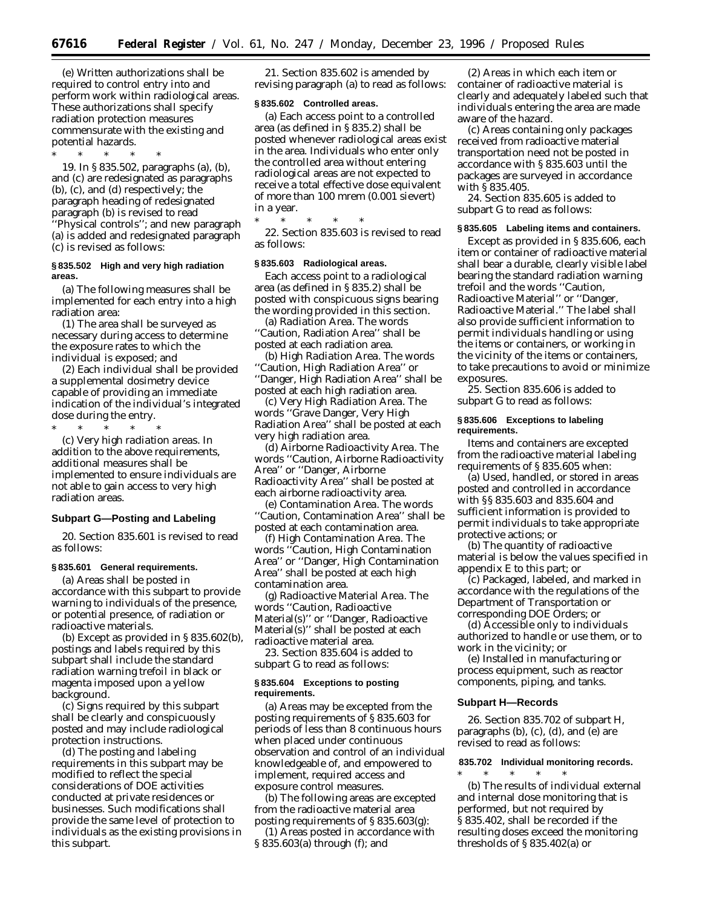(e) Written authorizations shall be required to control entry into and perform work within radiological areas. These authorizations shall specify radiation protection measures commensurate with the existing and potential hazards.

\* \* \* \* \* 19. In § 835.502, paragraphs (a), (b), and (c) are redesignated as paragraphs (b), (c), and (d) respectively; the paragraph heading of redesignated paragraph (b) is revised to read ''Physical controls''; and new paragraph (a) is added and redesignated paragraph (c) is revised as follows:

### **§ 835.502 High and very high radiation areas.**

(a) The following measures shall be implemented for each entry into a high radiation area:

(1) The area shall be surveyed as necessary during access to determine the exposure rates to which the individual is exposed; and

(2) Each individual shall be provided a supplemental dosimetry device capable of providing an immediate indication of the individual's integrated dose during the entry.

\* \* \* \* \*

(c) *Very high radiation areas.* In addition to the above requirements, additional measures shall be implemented to ensure individuals are not able to gain access to very high radiation areas.

### **Subpart G—Posting and Labeling**

20. Section 835.601 is revised to read as follows:

### **§ 835.601 General requirements.**

(a) Areas shall be posted in accordance with this subpart to provide warning to individuals of the presence, or potential presence, of radiation or radioactive materials.

(b) Except as provided in § 835.602(b), postings and labels required by this subpart shall include the standard radiation warning trefoil in black or magenta imposed upon a yellow background.

(c) Signs required by this subpart shall be clearly and conspicuously posted and may include radiological protection instructions.

(d) The posting and labeling requirements in this subpart may be modified to reflect the special considerations of DOE activities conducted at private residences or businesses. Such modifications shall provide the same level of protection to individuals as the existing provisions in this subpart.

21. Section 835.602 is amended by revising paragraph (a) to read as follows:

#### **§ 835.602 Controlled areas.**

(a) Each access point to a controlled area (as defined in § 835.2) shall be posted whenever radiological areas exist in the area. Individuals who enter only the controlled area without entering radiological areas are not expected to receive a total effective dose equivalent of more than 100 mrem (0.001 sievert) in a year.

\* \* \* \* \* 22. Section 835.603 is revised to read as follows:

#### **§ 835.603 Radiological areas.**

Each access point to a radiological area (as defined in § 835.2) shall be posted with conspicuous signs bearing the wording provided in this section.

(a) *Radiation Area.* The words ''Caution, Radiation Area'' shall be posted at each radiation area.

(b) *High Radiation Area.* The words ''Caution, High Radiation Area'' or ''Danger, High Radiation Area'' shall be posted at each high radiation area.

(c) *Very High Radiation Area.* The words ''Grave Danger, Very High Radiation Area'' shall be posted at each very high radiation area.

(d) *Airborne Radioactivity Area.* The words ''Caution, Airborne Radioactivity Area'' or ''Danger, Airborne Radioactivity Area'' shall be posted at each airborne radioactivity area.

(e) *Contamination Area.* The words ''Caution, Contamination Area'' shall be posted at each contamination area.

(f) *High Contamination Area.* The words ''Caution, High Contamination Area'' or ''Danger, High Contamination Area'' shall be posted at each high contamination area.

(g) *Radioactive Material Area.* The words ''Caution, Radioactive Material(s)'' or ''Danger, Radioactive Material(s)'' shall be posted at each radioactive material area.

23. Section 835.604 is added to subpart G to read as follows:

#### **§ 835.604 Exceptions to posting requirements.**

(a) Areas may be excepted from the posting requirements of § 835.603 for periods of less than 8 continuous hours when placed under continuous observation and control of an individual knowledgeable of, and empowered to implement, required access and exposure control measures.

(b) The following areas are excepted from the radioactive material area posting requirements of § 835.603(g):

(1) Areas posted in accordance with § 835.603(a) through (f); and

(2) Areas in which each item or container of radioactive material is clearly and adequately labeled such that individuals entering the area are made aware of the hazard.

(c) Areas containing only packages received from radioactive material transportation need not be posted in accordance with § 835.603 until the packages are surveyed in accordance with § 835.405.

24. Section 835.605 is added to subpart G to read as follows:

#### **§ 835.605 Labeling items and containers.**

Except as provided in § 835.606, each item or container of radioactive material shall bear a durable, clearly visible label bearing the standard radiation warning trefoil and the words ''Caution, Radioactive Material'' or ''Danger, Radioactive Material.'' The label shall also provide sufficient information to permit individuals handling or using the items or containers, or working in the vicinity of the items or containers, to take precautions to avoid or minimize exposures.

25. Section 835.606 is added to subpart G to read as follows:

### **§ 835.606 Exceptions to labeling requirements.**

Items and containers are excepted from the radioactive material labeling requirements of § 835.605 when:

(a) Used, handled, or stored in areas posted and controlled in accordance with §§ 835.603 and 835.604 and sufficient information is provided to permit individuals to take appropriate protective actions; or

(b) The quantity of radioactive material is below the values specified in appendix E to this part; or

(c) Packaged, labeled, and marked in accordance with the regulations of the Department of Transportation or corresponding DOE Orders; or

(d) Accessible only to individuals authorized to handle or use them, or to work in the vicinity; or

(e) Installed in manufacturing or process equipment, such as reactor components, piping, and tanks.

#### **Subpart H—Records**

26. Section 835.702 of subpart H, paragraphs (b), (c), (d), and (e) are revised to read as follows:

### **835.702 Individual monitoring records.**

\* \* \* \* \* (b) The results of individual external and internal dose monitoring that is performed, but not required by § 835.402, shall be recorded if the resulting doses exceed the monitoring thresholds of § 835.402(a) or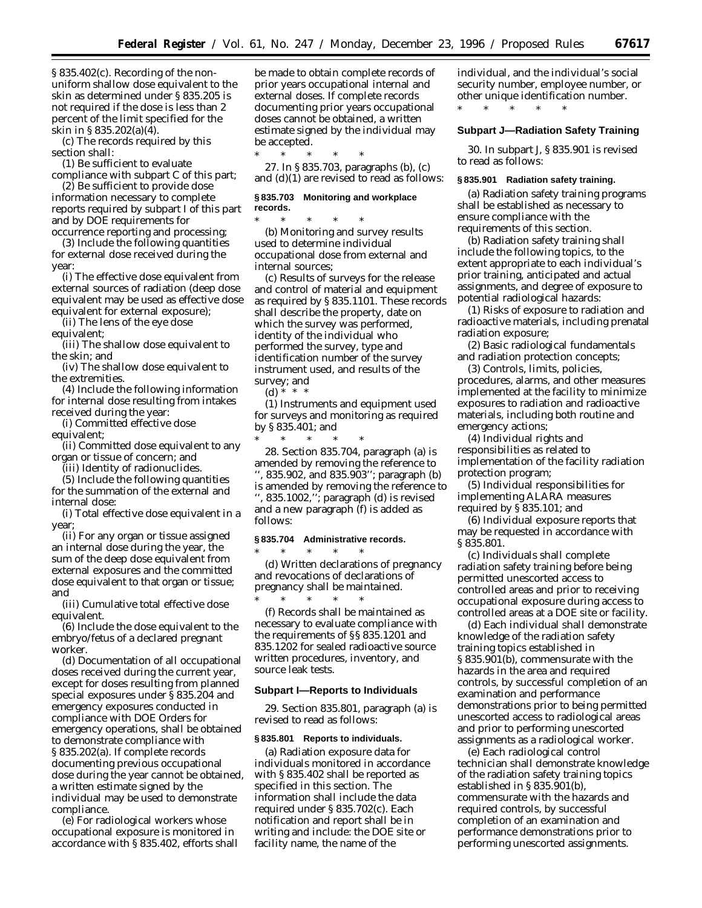§ 835.402(c). Recording of the nonuniform shallow dose equivalent to the skin as determined under § 835.205 is not required if the dose is less than 2 percent of the limit specified for the skin in § 835.202(a)(4).

(c) The records required by this section shall:

(1) Be sufficient to evaluate compliance with subpart C of this part;

(2) Be sufficient to provide dose information necessary to complete reports required by subpart I of this part and by DOE requirements for

occurrence reporting and processing; (3) Include the following quantities for external dose received during the year:

(i) The effective dose equivalent from external sources of radiation (deep dose equivalent may be used as effective dose equivalent for external exposure);

(ii) The lens of the eye dose equivalent;

(iii) The shallow dose equivalent to the skin; and

(iv) The shallow dose equivalent to the extremities.

(4) Include the following information for internal dose resulting from intakes received during the year:

(i) Committed effective dose equivalent;

(ii) Committed dose equivalent to any organ or tissue of concern; and

(iii) Identity of radionuclides.

(5) Include the following quantities for the summation of the external and internal dose:

(i) Total effective dose equivalent in a year;

(ii) For any organ or tissue assigned an internal dose during the year, the sum of the deep dose equivalent from external exposures and the committed dose equivalent to that organ or tissue; and

(iii) Cumulative total effective dose equivalent.

(6) Include the dose equivalent to the embryo/fetus of a declared pregnant worker.

(d) Documentation of all occupational doses received during the current year, except for doses resulting from planned special exposures under § 835.204 and emergency exposures conducted in compliance with DOE Orders for emergency operations, shall be obtained to demonstrate compliance with § 835.202(a). If complete records documenting previous occupational dose during the year cannot be obtained, a written estimate signed by the individual may be used to demonstrate compliance.

(e) For radiological workers whose occupational exposure is monitored in accordance with § 835.402, efforts shall be made to obtain complete records of prior years occupational internal and external doses. If complete records documenting prior years occupational doses cannot be obtained, a written estimate signed by the individual may be accepted.

\* \* \* \* \* 27. In § 835.703, paragraphs (b), (c) and (d)(1) are revised to read as follows:

### **§ 835.703 Monitoring and workplace records.**

\* \* \* \* \* (b) Monitoring and survey results used to determine individual occupational dose from external and internal sources;

(c) Results of surveys for the release and control of material and equipment as required by § 835.1101. These records shall describe the property, date on which the survey was performed, identity of the individual who performed the survey, type and identification number of the survey instrument used, and results of the survey; and

(d)  $* * * *$ 

(1) Instruments and equipment used for surveys and monitoring as required by § 835.401; and

\* \* \* \* \* 28. Section 835.704, paragraph (a) is amended by removing the reference to '', 835.902, and 835.903''; paragraph (b) is amended by removing the reference to '', 835.1002,''; paragraph (d) is revised and a new paragraph (f) is added as follows:

# **§ 835.704 Administrative records.**

\* \* \* \* \* (d) Written declarations of pregnancy and revocations of declarations of pregnancy shall be maintained. \* \* \* \* \*

(f) Records shall be maintained as necessary to evaluate compliance with the requirements of §§ 835.1201 and 835.1202 for sealed radioactive source written procedures, inventory, and source leak tests.

### **Subpart I—Reports to Individuals**

29. Section 835.801, paragraph (a) is revised to read as follows:

#### **§ 835.801 Reports to individuals.**

(a) Radiation exposure data for individuals monitored in accordance with § 835.402 shall be reported as specified in this section. The information shall include the data required under § 835.702(c). Each notification and report shall be in writing and include: the DOE site or facility name, the name of the

individual, and the individual's social security number, employee number, or other unique identification number.

\* \* \* \* \*

# **Subpart J—Radiation Safety Training**

30. In subpart J, § 835.901 is revised to read as follows:

#### **§ 835.901 Radiation safety training.**

(a) Radiation safety training programs shall be established as necessary to ensure compliance with the requirements of this section.

(b) Radiation safety training shall include the following topics, to the extent appropriate to each individual's prior training, anticipated and actual assignments, and degree of exposure to potential radiological hazards:

(1) Risks of exposure to radiation and radioactive materials, including prenatal radiation exposure;

(2) Basic radiological fundamentals and radiation protection concepts;

(3) Controls, limits, policies, procedures, alarms, and other measures implemented at the facility to minimize exposures to radiation and radioactive materials, including both routine and emergency actions;

(4) Individual rights and responsibilities as related to implementation of the facility radiation protection program;

(5) Individual responsibilities for implementing ALARA measures required by § 835.101; and

(6) Individual exposure reports that may be requested in accordance with § 835.801.

(c) Individuals shall complete radiation safety training before being permitted unescorted access to controlled areas and prior to receiving occupational exposure during access to controlled areas at a DOE site or facility.

(d) Each individual shall demonstrate knowledge of the radiation safety training topics established in § 835.901(b), commensurate with the hazards in the area and required controls, by successful completion of an examination and performance demonstrations prior to being permitted unescorted access to radiological areas and prior to performing unescorted assignments as a radiological worker.

(e) Each radiological control technician shall demonstrate knowledge of the radiation safety training topics established in § 835.901(b), commensurate with the hazards and required controls, by successful completion of an examination and performance demonstrations prior to performing unescorted assignments.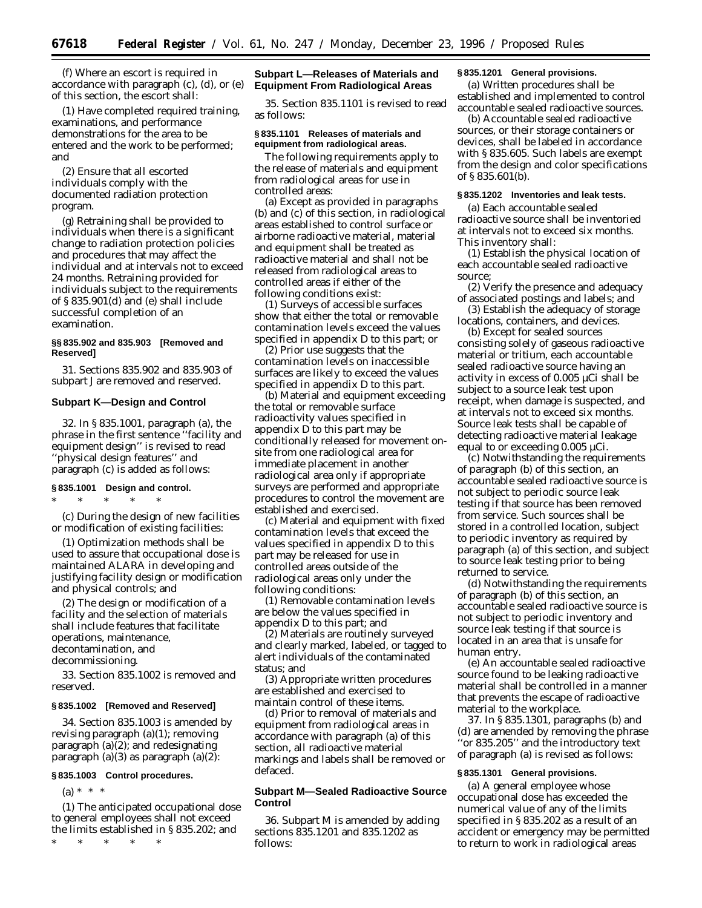(f) Where an escort is required in accordance with paragraph (c), (d), or (e) of this section, the escort shall:

(1) Have completed required training, examinations, and performance demonstrations for the area to be entered and the work to be performed; and

(2) Ensure that all escorted individuals comply with the documented radiation protection program.

(g) Retraining shall be provided to individuals when there is a significant change to radiation protection policies and procedures that may affect the individual and at intervals not to exceed 24 months. Retraining provided for individuals subject to the requirements of § 835.901(d) and (e) shall include successful completion of an examination.

### **§§ 835.902 and 835.903 [Removed and Reserved]**

31. Sections 835.902 and 835.903 of subpart J are removed and reserved.

### **Subpart K—Design and Control**

32. In § 835.1001, paragraph (a), the phrase in the first sentence ''facility and equipment design'' is revised to read ''physical design features'' and paragraph (c) is added as follows:

# **§ 835.1001 Design and control.**

\* \* \* \* \* (c) During the design of new facilities or modification of existing facilities:

(1) Optimization methods shall be used to assure that occupational dose is maintained ALARA in developing and justifying facility design or modification and physical controls; and

(2) The design or modification of a facility and the selection of materials shall include features that facilitate operations, maintenance, decontamination, and decommissioning.

33. Section 835.1002 is removed and reserved.

### **§ 835.1002 [Removed and Reserved]**

34. Section 835.1003 is amended by revising paragraph (a)(1); removing paragraph (a)(2); and redesignating paragraph (a)(3) as paragraph (a)(2):

### **§ 835.1003 Control procedures.**

 $(a) * * * *$ 

(1) The anticipated occupational dose to general employees shall not exceed the limits established in § 835.202; and

\* \* \* \* \*

### **Subpart L—Releases of Materials and Equipment From Radiological Areas**

35. Section 835.1101 is revised to read as follows:

### **§ 835.1101 Releases of materials and equipment from radiological areas.**

The following requirements apply to the release of materials and equipment from radiological areas for use in controlled areas:

(a) Except as provided in paragraphs (b) and (c) of this section, in radiological areas established to control surface or airborne radioactive material, material and equipment shall be treated as radioactive material and shall not be released from radiological areas to controlled areas if either of the following conditions exist:

(1) Surveys of accessible surfaces show that either the total or removable contamination levels exceed the values specified in appendix D to this part; or

(2) Prior use suggests that the contamination levels on inaccessible surfaces are likely to exceed the values specified in appendix D to this part.

(b) Material and equipment exceeding the total or removable surface radioactivity values specified in appendix D to this part may be conditionally released for movement onsite from one radiological area for immediate placement in another radiological area only if appropriate surveys are performed and appropriate procedures to control the movement are established and exercised.

(c) Material and equipment with fixed contamination levels that exceed the values specified in appendix D to this part may be released for use in controlled areas outside of the radiological areas only under the following conditions:

(1) Removable contamination levels are below the values specified in appendix D to this part; and

(2) Materials are routinely surveyed and clearly marked, labeled, or tagged to alert individuals of the contaminated status; and

(3) Appropriate written procedures are established and exercised to maintain control of these items.

(d) Prior to removal of materials and equipment from radiological areas in accordance with paragraph (a) of this section, all radioactive material markings and labels shall be removed or defaced.

### **Subpart M—Sealed Radioactive Source Control**

36. Subpart M is amended by adding sections 835.1201 and 835.1202 as follows:

### **§ 835.1201 General provisions.**

(a) Written procedures shall be established and implemented to control accountable sealed radioactive sources.

(b) Accountable sealed radioactive sources, or their storage containers or devices, shall be labeled in accordance with § 835.605. Such labels are exempt from the design and color specifications of § 835.601(b).

### **§ 835.1202 Inventories and leak tests.**

(a) Each accountable sealed radioactive source shall be inventoried at intervals not to exceed six months. This inventory shall:

(1) Establish the physical location of each accountable sealed radioactive source;

(2) Verify the presence and adequacy of associated postings and labels; and

(3) Establish the adequacy of storage locations, containers, and devices.

(b) Except for sealed sources consisting solely of gaseous radioactive material or tritium, each accountable sealed radioactive source having an activity in excess of 0.005 µCi shall be subject to a source leak test upon receipt, when damage is suspected, and at intervals not to exceed six months. Source leak tests shall be capable of detecting radioactive material leakage equal to or exceeding 0.005 µCi.

(c) Notwithstanding the requirements of paragraph (b) of this section, an accountable sealed radioactive source is not subject to periodic source leak testing if that source has been removed from service. Such sources shall be stored in a controlled location, subject to periodic inventory as required by paragraph (a) of this section, and subject to source leak testing prior to being returned to service.

(d) Notwithstanding the requirements of paragraph (b) of this section, an accountable sealed radioactive source is not subject to periodic inventory and source leak testing if that source is located in an area that is unsafe for human entry.

(e) An accountable sealed radioactive source found to be leaking radioactive material shall be controlled in a manner that prevents the escape of radioactive material to the workplace.

37. In § 835.1301, paragraphs (b) and (d) are amended by removing the phrase ''or 835.205'' and the introductory text of paragraph (a) is revised as follows:

### **§ 835.1301 General provisions.**

(a) A general employee whose occupational dose has exceeded the numerical value of any of the limits specified in § 835.202 as a result of an accident or emergency may be permitted to return to work in radiological areas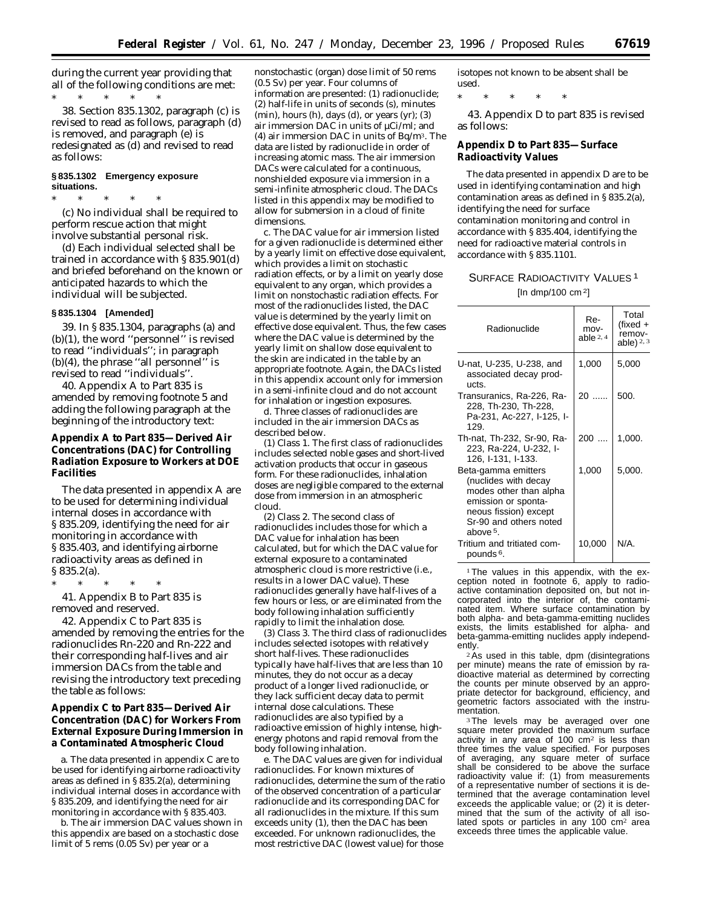during the current year providing that all of the following conditions are met: \* \* \* \* \*

38. Section 835.1302, paragraph (c) is revised to read as follows, paragraph (d) is removed, and paragraph (e) is redesignated as (d) and revised to read as follows:

### **§ 835.1302 Emergency exposure situations.**

\* \* \* \* \* (c) No individual shall be required to perform rescue action that might involve substantial personal risk.

(d) Each individual selected shall be trained in accordance with § 835.901(d) and briefed beforehand on the known or anticipated hazards to which the individual will be subjected.

### **§ 835.1304 [Amended]**

39. In § 835.1304, paragraphs (a) and (b)(1), the word ''personnel'' is revised to read ''individuals''; in paragraph  $(b)(4)$ , the phrase "all personnel" is revised to read ''individuals''.

40. Appendix A to Part 835 is amended by removing footnote 5 and adding the following paragraph at the beginning of the introductory text:

**Appendix A to Part 835—Derived Air Concentrations (DAC) for Controlling Radiation Exposure to Workers at DOE Facilities**

The data presented in appendix A are to be used for determining individual internal doses in accordance with § 835.209, identifying the need for air monitoring in accordance with § 835.403, and identifying airborne radioactivity areas as defined in § 835.2(a).

\* \* \* \* \*

41. Appendix B to Part 835 is removed and reserved.

42. Appendix C to Part 835 is amended by removing the entries for the radionuclides Rn-220 and Rn-222 and their corresponding half-lives and air immersion DACs from the table and revising the introductory text preceding the table as follows:

**Appendix C to Part 835—Derived Air Concentration (DAC) for Workers From External Exposure During Immersion in a Contaminated Atmospheric Cloud**

a. The data presented in appendix C are to be used for identifying airborne radioactivity areas as defined in § 835.2(a), determining individual internal doses in accordance with § 835.209, and identifying the need for air monitoring in accordance with § 835.403.

b. The air immersion DAC values shown in this appendix are based on a stochastic dose limit of 5 rems (0.05 Sv) per year or a

nonstochastic (organ) dose limit of 50 rems (0.5 Sv) per year. Four columns of information are presented: (1) radionuclide; (2) half-life in units of seconds (s), minutes  $(\text{min})$ , hours  $(h)$ , days  $(d)$ , or years  $(\text{yr})$ ;  $(3)$ air immersion DAC in units of µCi/ml; and (4) air immersion DAC in units of Bq/m3. The data are listed by radionuclide in order of increasing atomic mass. The air immersion DACs were calculated for a continuous, nonshielded exposure via immersion in a semi-infinite atmospheric cloud. The DACs listed in this appendix may be modified to allow for submersion in a cloud of finite dimensions.

c. The DAC value for air immersion listed for a given radionuclide is determined either by a yearly limit on effective dose equivalent, which provides a limit on stochastic radiation effects, or by a limit on yearly dose equivalent to any organ, which provides a limit on nonstochastic radiation effects. For most of the radionuclides listed, the DAC value is determined by the yearly limit on effective dose equivalent. Thus, the few cases where the DAC value is determined by the yearly limit on shallow dose equivalent to the skin are indicated in the table by an appropriate footnote. Again, the DACs listed in this appendix account only for immersion in a semi-infinite cloud and do not account for inhalation or ingestion exposures.

d. Three classes of radionuclides are included in the air immersion DACs as described below.

(1) *Class 1.* The first class of radionuclides includes selected noble gases and short-lived activation products that occur in gaseous form. For these radionuclides, inhalation doses are negligible compared to the external dose from immersion in an atmospheric cloud.

(2) *Class 2.* The second class of radionuclides includes those for which a DAC value for inhalation has been calculated, but for which the DAC value for external exposure to a contaminated atmospheric cloud is more restrictive (i.e., results in a lower DAC value). These radionuclides generally have half-lives of a few hours or less, or are eliminated from the body following inhalation sufficiently rapidly to limit the inhalation dose.

(3) *Class 3.* The third class of radionuclides includes selected isotopes with relatively short half-lives. These radionuclides typically have half-lives that are less than 10 minutes, they do not occur as a decay product of a longer lived radionuclide, or they lack sufficient decay data to permit internal dose calculations. These radionuclides are also typified by a radioactive emission of highly intense, highenergy photons and rapid removal from the body following inhalation.

e. The DAC values are given for individual radionuclides. For known mixtures of radionuclides, determine the sum of the ratio of the observed concentration of a particular radionuclide and its corresponding DAC for all radionuclides in the mixture. If this sum exceeds unity (1), then the DAC has been exceeded. For unknown radionuclides, the most restrictive DAC (lowest value) for those

isotopes not known to be absent shall be used.

\* \* \* \* \*

43. Appendix D to part 835 is revised as follows:

### **Appendix D to Part 835—Surface Radioactivity Values**

The data presented in appendix D are to be used in identifying contamination and high contamination areas as defined in § 835.2(a), identifying the need for surface contamination monitoring and control in accordance with § 835.404, identifying the need for radioactive material controls in accordance with § 835.1101.

# SURFACE RADIOACTIVITY VALUES<sup>1</sup> [In dmp/100 cm 2]

| Radionuclide                                                                                                                                                            | Re-<br>mov-<br>able $2, 4$ | Total<br>(fixed +<br>remov-<br>able) $2, 3$ |
|-------------------------------------------------------------------------------------------------------------------------------------------------------------------------|----------------------------|---------------------------------------------|
| U-nat, U-235, U-238, and<br>associated decay prod-<br>ucts.                                                                                                             | 1,000                      | 5,000                                       |
| Transuranics, Ra-226, Ra-<br>228, Th-230, Th-228,<br>Pa-231, Ac-227, I-125, I-<br>129.                                                                                  | $20$                       | 500.                                        |
| Th-nat, Th-232, Sr-90, Ra-<br>223, Ra-224, U-232, I-<br>126, I-131, I-133.                                                                                              | 200                        | 1,000.                                      |
| Beta-gamma emitters<br>(nuclides with decay<br>modes other than alpha<br>emission or sponta-<br>neous fission) except<br>Sr-90 and others noted<br>above <sup>5</sup> . | 1,000                      | 5,000.                                      |
| Tritium and tritiated com-<br>pounds <sup>6</sup> .                                                                                                                     | 10,000                     | N/A.                                        |

<sup>1</sup>The values in this appendix, with the exception noted in footnote 6, apply to radioactive contamination deposited on, but not incorporated into the interior of, the contaminated item. Where surface contamination by both alpha- and beta-gamma-emitting nuclides exists, the limits established for alpha- and beta-gamma-emitting nuclides apply independently.

2As used in this table, dpm (disintegrations per minute) means the rate of emission by radioactive material as determined by correcting the counts per minute observed by an appropriate detector for background, efficiency, and geometric factors associated with the instrumentation.

<sup>3</sup>The levels may be averaged over one square meter provided the maximum surface activity in any area of 100 cm2 is less than three times the value specified. For purposes of averaging, any square meter of surface shall be considered to be above the surface radioactivity value if: (1) from measurements of a representative number of sections it is determined that the average contamination level exceeds the applicable value; or (2) it is determined that the sum of the activity of all isolated spots or particles in any 100 cm<sup>2</sup> area exceeds three times the applicable value.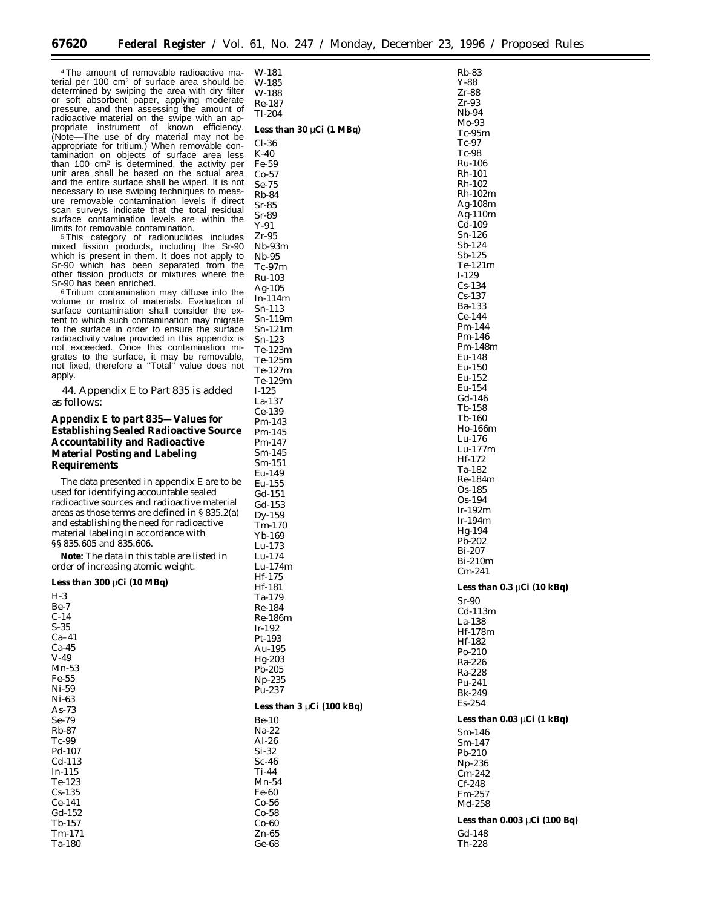4The amount of removable radioactive material per 100 cm2 of surface area should be determined by swiping the area with dry filter or soft absorbent paper, applying moderate pressure, and then assessing the amount of radioactive material on the swipe with an appropriate instrument of known efficiency. (Note—The use of dry material may not be appropriate for tritium.) When removable contamination on objects of surface area less than 100 cm2 is determined, the activity per unit area shall be based on the actual area and the entire surface shall be wiped. It is not necessary to use swiping techniques to measure removable contamination levels if direct scan surveys indicate that the total residual surface contamination levels are within the limits for removable contamination. <sup>5</sup>This category of radionuclides includes

mixed fission products, including the Sr-90 which is present in them. It does not apply to Sr-90 which has been separated from the other fission products or mixtures where the Sr-90 has been enriched.

<sup>6</sup>Tritium contamination may diffuse into the volume or matrix of materials. Evaluation of surface contamination shall consider the extent to which such contamination may migrate to the surface in order to ensure the surface radioactivity value provided in this appendix is not exceeded. Once this contamination migrates to the surface, it may be removable, not fixed, therefore a ''Total'' value does not apply.

44. Appendix E to Part 835 is added as follows:

**Appendix E to part 835—Values for Establishing Sealed Radioactive Source Accountability and Radioactive Material Posting and Labeling Requirements**

The data presented in appendix E are to be used for identifying accountable sealed radioactive sources and radioactive material areas as those terms are defined in § 835.2(a) and establishing the need for radioactive material labeling in accordance with §§ 835.605 and 835.606.

**Note:** The data in this table are listed in order of increasing atomic weight.

**Less than 300** µ**Ci (10 MBq)**

| $H-3$    |
|----------|
|          |
| $Be-7$   |
|          |
| $C-14$   |
|          |
| $S-35$   |
|          |
| $Ca-41$  |
|          |
| Ca-45    |
|          |
|          |
| $V-49$   |
|          |
| Mn-53    |
|          |
| Fe-55    |
|          |
| Ni-59    |
|          |
| Ni-63    |
|          |
| As- $73$ |
|          |
| Se-79    |
|          |
|          |
| $Rh-87$  |
|          |
| Tc-99    |
|          |
| Pd-107   |
|          |
| $Cd-113$ |
|          |
| $In-115$ |
|          |
| Te-123   |
|          |
| $Cs-135$ |
|          |
| $Ce-141$ |
|          |
|          |
| Gd-152   |
|          |
| $Tb-157$ |
|          |
| Tm-171   |
|          |

Ta-180

| W-181                          | Rb-83                             |
|--------------------------------|-----------------------------------|
| W-185                          | Y-88                              |
| W-188                          | Zr-88<br>Zr-93                    |
| Re-187<br>Tl-204               | Nb-94                             |
|                                | Mo-93                             |
| Less than $30 \mu Ci$ (1 MBq)  | $Tc-95m$                          |
| $Cl-36$                        | Tc-97                             |
| K-40                           | Tc-98                             |
| Fe-59                          | Ru-106                            |
| Co-57<br>$Se-75$               | Rh-101<br>Rh-102                  |
| Rb-84                          | Rh-102m                           |
| $Sr-85$                        | Ag-108m                           |
| Sr-89                          | Ag-110m                           |
| Y-91                           | Cd-109                            |
| Zr-95                          | Sn-126                            |
| Nb-93m                         | Sb-124<br>$Sb-125$                |
| Nb-95<br>Tc-97m                | Te-121m                           |
| Ru-103                         | $I-129$                           |
| Ag-105                         | $Cs-134$                          |
| In-114m                        | Cs-137                            |
| Sn-113                         | Ba-133                            |
| Sn-119m                        | $Ce-144$                          |
| $Sn-121m$                      | Pm-144<br>Pm-146                  |
| Sn-123                         | Pm-148m                           |
| Te-123m<br>Te-125m             | Eu-148                            |
| Te-127m                        | Eu-150                            |
| Te-129m                        | Eu-152                            |
| $I-125$                        | Eu-154                            |
| La-137                         | Gd-146                            |
| $Ce-139$                       | Tb-158<br>Tb-160                  |
| Pm-143                         | Ho-166m                           |
| Pm-145                         | Lu-176                            |
| Pm-147<br>Sm-145               | Lu-177m                           |
| Sm-151                         | Hf-172                            |
| Eu-149                         | Ta-182                            |
| Eu-155                         | Re-184m                           |
| $Gd-151$                       | Os-185                            |
| Gd-153                         | Os-194<br>Ir-192m                 |
| Dy-159                         | Ir-194m                           |
| Tm-170                         | Hg-194                            |
| Yb-169<br>Lu-173               | Pb-202                            |
| Lu-174                         | Bi-207                            |
| Lu-174m                        | Bi-210m                           |
| Hf-175                         | Cm-241                            |
| Hf-181                         | Less than $0.3 \mu Ci$ (10 kBq)   |
| Ta-179                         | $Sr-90$                           |
| Re-184                         | $Cd-113m$                         |
| Re-186m                        | La-138                            |
| $Ir-192$<br>Pt-193             | Hf-178m                           |
| Au-195                         | Hf-182                            |
| Hg-203                         | $Po-210$<br>Ra-226                |
| Pb-205                         | Ra-228                            |
| Np-235                         | Pu-241                            |
| Pu-237                         | Bk-249                            |
| Less than $3 \mu Ci$ (100 kBq) | $Es-254$                          |
| <b>Be-10</b>                   | Less than 0.03 µCi (1 kBq)        |
| Na-22                          |                                   |
| Al-26                          | Sm-146<br>$Sm-147$                |
| Si-32                          | Pb-210                            |
| Sc-46                          | Np-236                            |
| Ti-44                          | Cm-242                            |
| Mn-54                          | $Cf-248$                          |
| <b>Fe-60</b>                   | Fm-257                            |
| Co-56<br>Co-58                 | Md-258                            |
| Co-60                          | Less than $0.003 \mu Ci$ (100 Bq) |
| Zn-65                          | Gd-148                            |
| Ge-68                          | Th-228                            |
|                                |                                   |